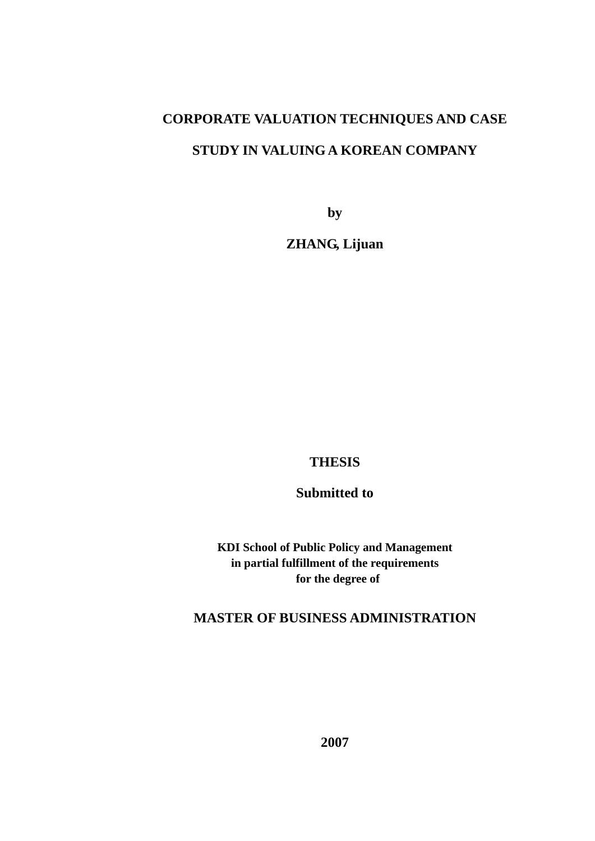# **CORPORATE VALUATION TECHNIQUES AND CASE STUDY IN VALUING A KOREAN COMPANY**

**by** 

**ZHANG, Lijuan** 

# **THESIS**

# **Submitted to**

**KDI School of Public Policy and Management in partial fulfillment of the requirements for the degree of** 

# **MASTER OF BUSINESS ADMINISTRATION**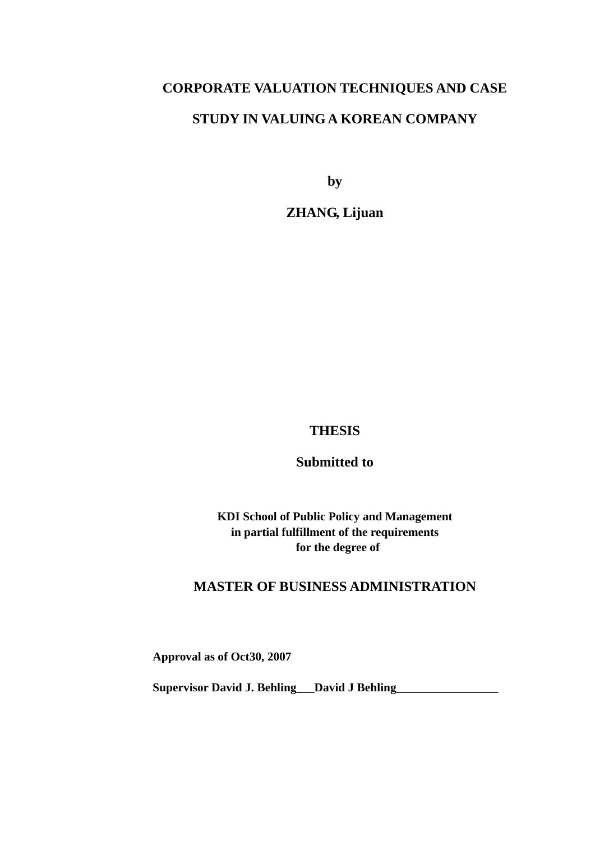# **CORPORATE VALUATION TECHNIQUES AND CASE STUDY IN VALUING A KOREAN COMPANY**

**by** 

**ZHANG, Lijuan** 

# **THESIS**

**Submitted to** 

**KDI School of Public Policy and Management in partial fulfillment of the requirements for the degree of** 

# **MASTER OF BUSINESS ADMINISTRATION**

**Approval as of Oct30, 2007** 

**Supervisor David J. Behling\_\_\_David J Behling\_\_\_\_\_\_\_\_\_\_\_\_\_\_\_\_\_**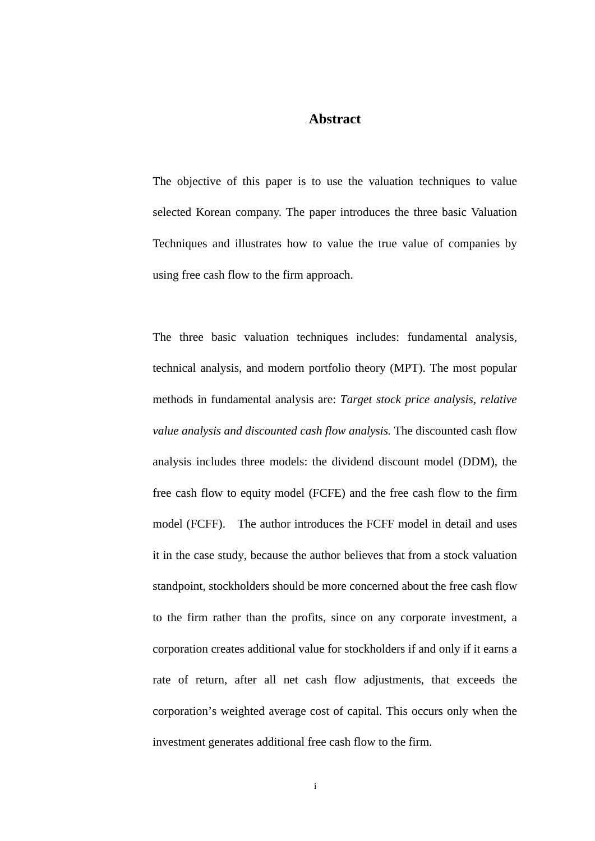#### **Abstract**

The objective of this paper is to use the valuation techniques to value selected Korean company. The paper introduces the three basic Valuation Techniques and illustrates how to value the true value of companies by using free cash flow to the firm approach.

The three basic valuation techniques includes: fundamental analysis, technical analysis, and modern portfolio theory (MPT). The most popular methods in fundamental analysis are: *Target stock price analysis, relative value analysis and discounted cash flow analysis.* The discounted cash flow analysis includes three models: the dividend discount model (DDM), the free cash flow to equity model (FCFE) and the free cash flow to the firm model (FCFF). The author introduces the FCFF model in detail and uses it in the case study, because the author believes that from a stock valuation standpoint, stockholders should be more concerned about the free cash flow to the firm rather than the profits, since on any corporate investment, a corporation creates additional value for stockholders if and only if it earns a rate of return, after all net cash flow adjustments, that exceeds the corporation's weighted average cost of capital. This occurs only when the investment generates additional free cash flow to the firm.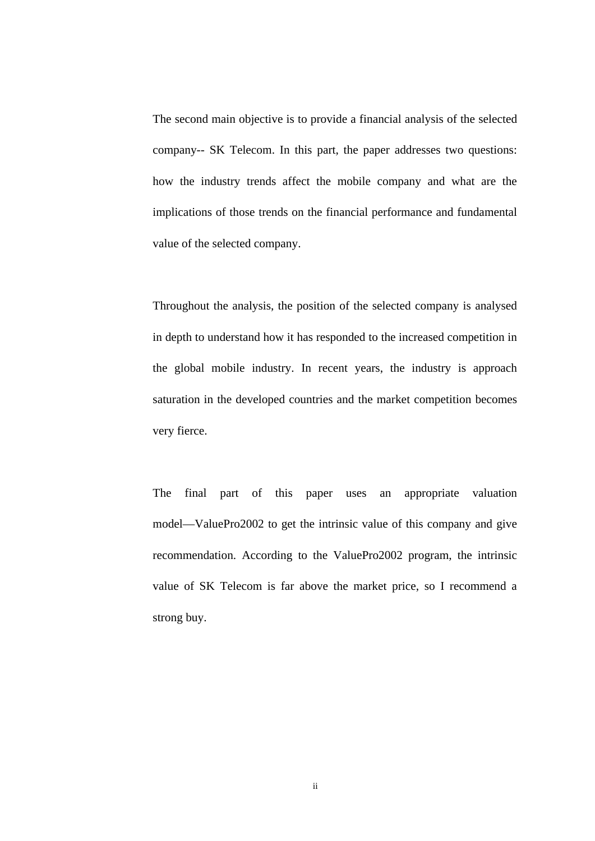The second main objective is to provide a financial analysis of the selected company-- SK Telecom. In this part, the paper addresses two questions: how the industry trends affect the mobile company and what are the implications of those trends on the financial performance and fundamental value of the selected company.

Throughout the analysis, the position of the selected company is analysed in depth to understand how it has responded to the increased competition in the global mobile industry. In recent years, the industry is approach saturation in the developed countries and the market competition becomes very fierce.

The final part of this paper uses an appropriate valuation model—ValuePro2002 to get the intrinsic value of this company and give recommendation. According to the ValuePro2002 program, the intrinsic value of SK Telecom is far above the market price, so I recommend a strong buy.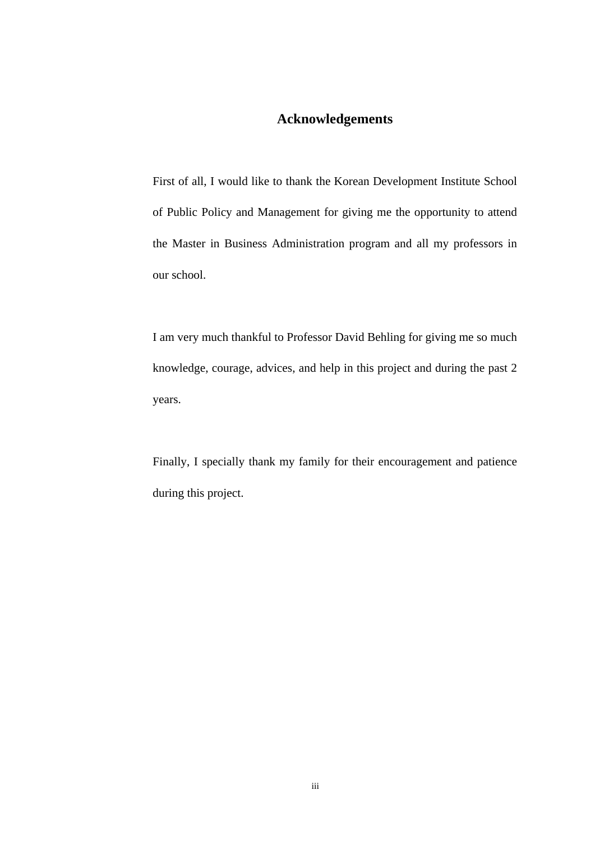# **Acknowledgements**

First of all, I would like to thank the Korean Development Institute School of Public Policy and Management for giving me the opportunity to attend the Master in Business Administration program and all my professors in our school.

I am very much thankful to Professor David Behling for giving me so much knowledge, courage, advices, and help in this project and during the past 2 years.

Finally, I specially thank my family for their encouragement and patience during this project.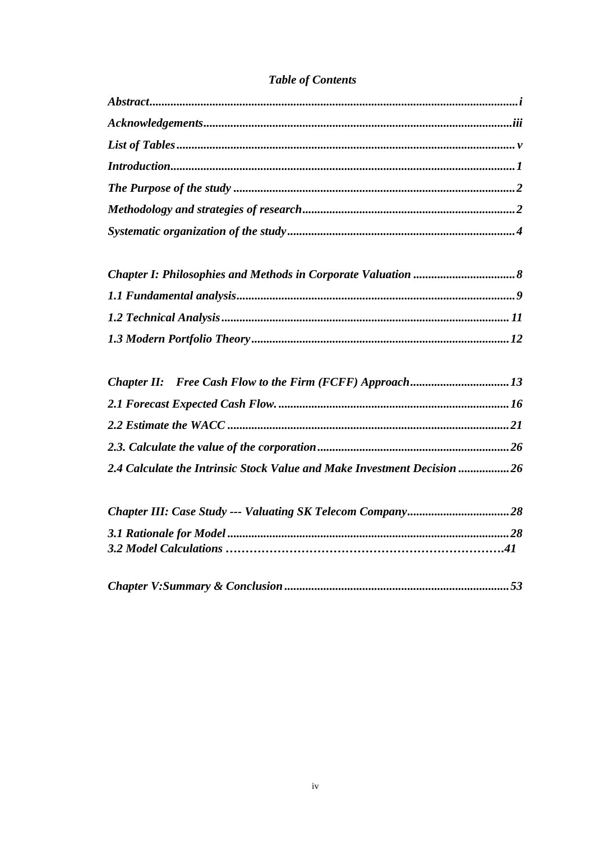# **Table of Contents**

| Introduction 1 |  |
|----------------|--|
|                |  |
|                |  |
|                |  |
|                |  |

| 2.4 Calculate the Intrinsic Stock Value and Make Investment Decision  26 |  |
|--------------------------------------------------------------------------|--|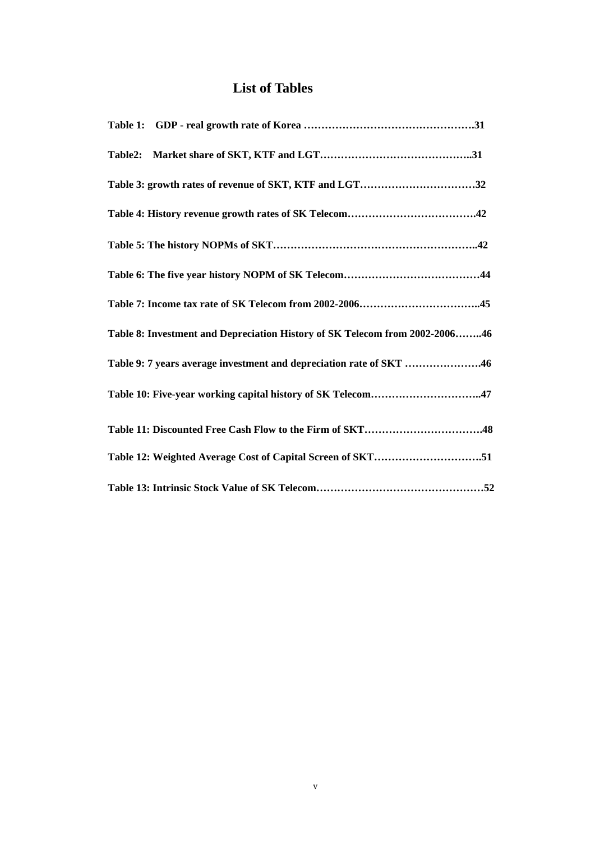# **List of Tables**

| Table 3: growth rates of revenue of SKT, KTF and LGT32                      |
|-----------------------------------------------------------------------------|
|                                                                             |
|                                                                             |
|                                                                             |
|                                                                             |
| Table 8: Investment and Depreciation History of SK Telecom from 2002-200646 |
| Table 9: 7 years average investment and depreciation rate of SKT 46         |
| Table 10: Five-year working capital history of SK Telecom47                 |
| Table 11: Discounted Free Cash Flow to the Firm of SKT48                    |
| Table 12: Weighted Average Cost of Capital Screen of SKT51                  |
|                                                                             |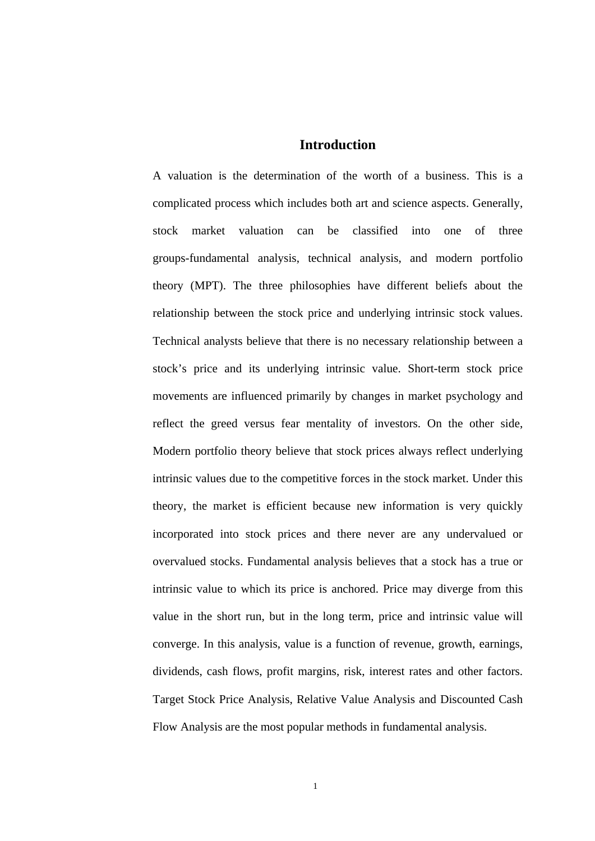#### **Introduction**

A valuation is the determination of the worth of a business. This is a complicated process which includes both art and science aspects. Generally, stock market valuation can be classified into one of three groups-fundamental analysis, technical analysis, and modern portfolio theory (MPT). The three philosophies have different beliefs about the relationship between the stock price and underlying intrinsic stock values. Technical analysts believe that there is no necessary relationship between a stock's price and its underlying intrinsic value. Short-term stock price movements are influenced primarily by changes in market psychology and reflect the greed versus fear mentality of investors. On the other side, Modern portfolio theory believe that stock prices always reflect underlying intrinsic values due to the competitive forces in the stock market. Under this theory, the market is efficient because new information is very quickly incorporated into stock prices and there never are any undervalued or overvalued stocks. Fundamental analysis believes that a stock has a true or intrinsic value to which its price is anchored. Price may diverge from this value in the short run, but in the long term, price and intrinsic value will converge. In this analysis, value is a function of revenue, growth, earnings, dividends, cash flows, profit margins, risk, interest rates and other factors. Target Stock Price Analysis, Relative Value Analysis and Discounted Cash Flow Analysis are the most popular methods in fundamental analysis.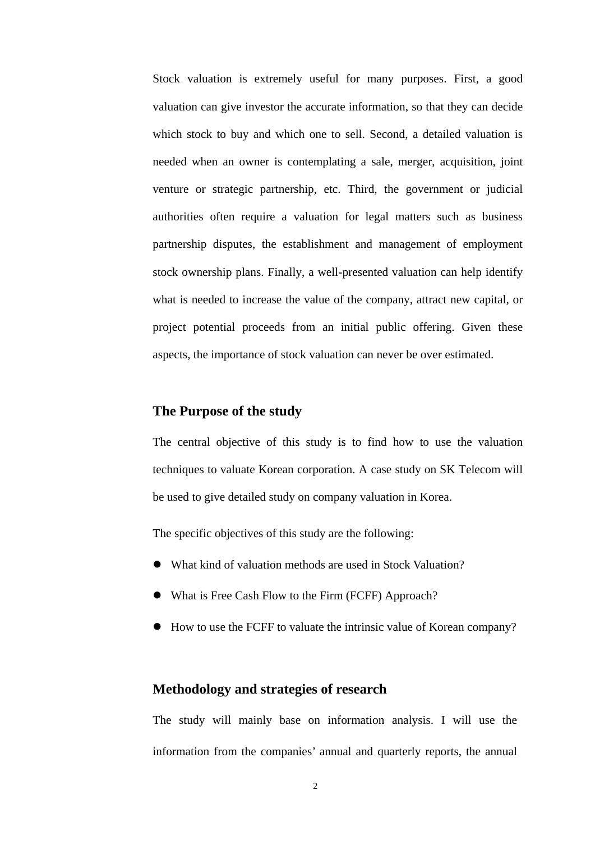Stock valuation is extremely useful for many purposes. First, a good valuation can give investor the accurate information, so that they can decide which stock to buy and which one to sell. Second, a detailed valuation is needed when an owner is contemplating a sale, merger, acquisition, joint venture or strategic partnership, etc. Third, the government or judicial authorities often require a valuation for legal matters such as business partnership disputes, the establishment and management of employment stock ownership plans. Finally, a well-presented valuation can help identify what is needed to increase the value of the company, attract new capital, or project potential proceeds from an initial public offering. Given these aspects, the importance of stock valuation can never be over estimated.

# **The Purpose of the study**

The central objective of this study is to find how to use the valuation techniques to valuate Korean corporation. A case study on SK Telecom will be used to give detailed study on company valuation in Korea.

The specific objectives of this study are the following:

- What kind of valuation methods are used in Stock Valuation?
- What is Free Cash Flow to the Firm (FCFF) Approach?
- How to use the FCFF to valuate the intrinsic value of Korean company?

#### **Methodology and strategies of research**

The study will mainly base on information analysis. I will use the information from the companies' annual and quarterly reports, the annual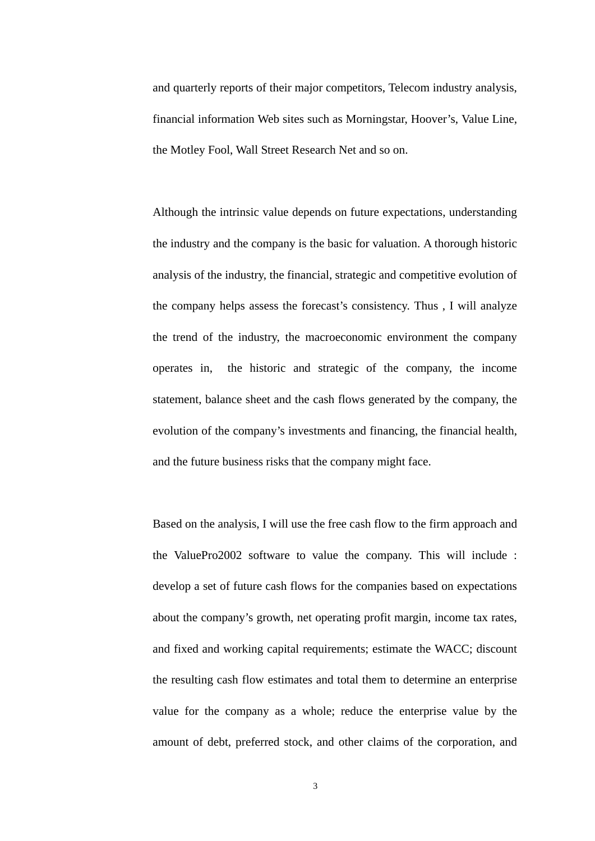and quarterly reports of their major competitors, Telecom industry analysis, financial information Web sites such as Morningstar, Hoover's, Value Line, the Motley Fool, Wall Street Research Net and so on.

Although the intrinsic value depends on future expectations, understanding the industry and the company is the basic for valuation. A thorough historic analysis of the industry, the financial, strategic and competitive evolution of the company helps assess the forecast's consistency. Thus , I will analyze the trend of the industry, the macroeconomic environment the company operates in, the historic and strategic of the company, the income statement, balance sheet and the cash flows generated by the company, the evolution of the company's investments and financing, the financial health, and the future business risks that the company might face.

Based on the analysis, I will use the free cash flow to the firm approach and the ValuePro2002 software to value the company. This will include : develop a set of future cash flows for the companies based on expectations about the company's growth, net operating profit margin, income tax rates, and fixed and working capital requirements; estimate the WACC; discount the resulting cash flow estimates and total them to determine an enterprise value for the company as a whole; reduce the enterprise value by the amount of debt, preferred stock, and other claims of the corporation, and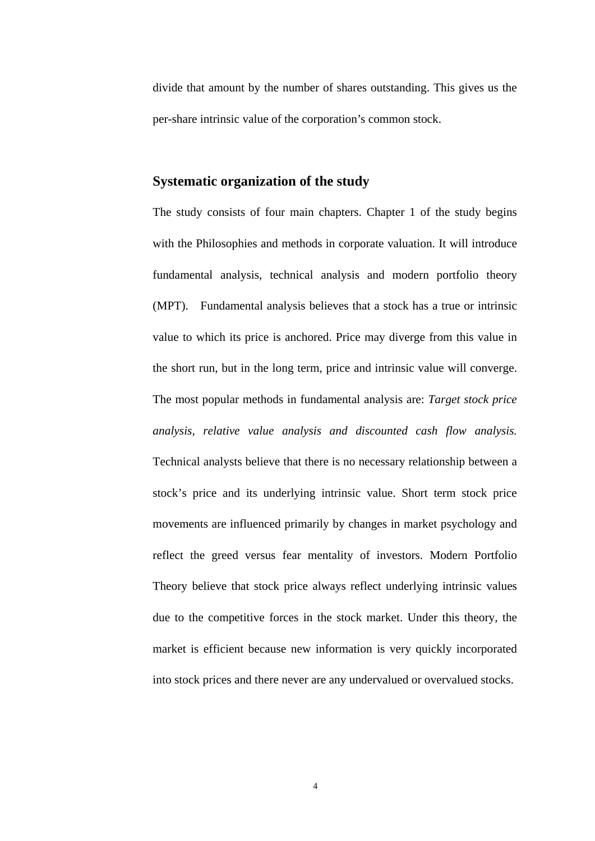divide that amount by the number of shares outstanding. This gives us the per-share intrinsic value of the corporation's common stock.

### **Systematic organization of the study**

The study consists of four main chapters. Chapter 1 of the study begins with the Philosophies and methods in corporate valuation. It will introduce fundamental analysis, technical analysis and modern portfolio theory (MPT). Fundamental analysis believes that a stock has a true or intrinsic value to which its price is anchored. Price may diverge from this value in the short run, but in the long term, price and intrinsic value will converge. The most popular methods in fundamental analysis are: *Target stock price analysis, relative value analysis and discounted cash flow analysis.*  Technical analysts believe that there is no necessary relationship between a stock's price and its underlying intrinsic value. Short term stock price movements are influenced primarily by changes in market psychology and reflect the greed versus fear mentality of investors. Modern Portfolio Theory believe that stock price always reflect underlying intrinsic values due to the competitive forces in the stock market. Under this theory, the market is efficient because new information is very quickly incorporated into stock prices and there never are any undervalued or overvalued stocks.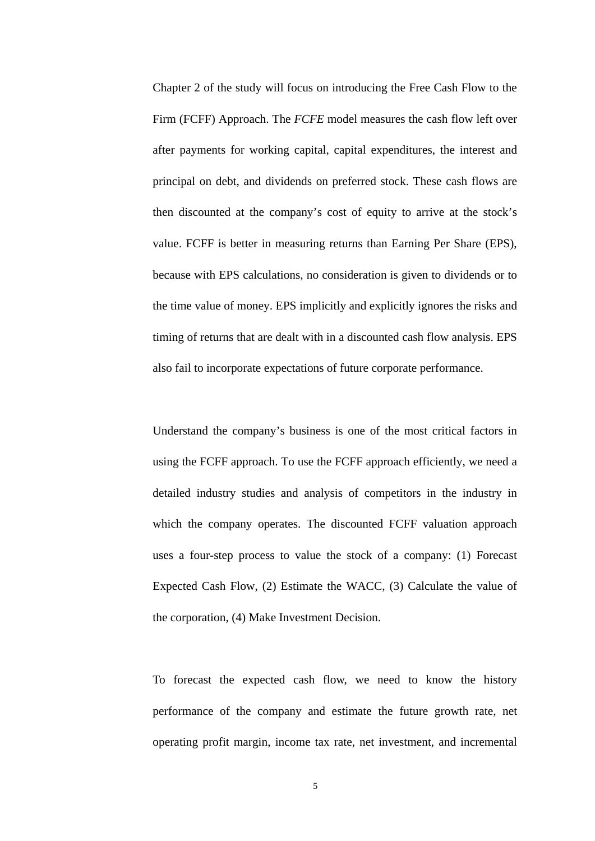Chapter 2 of the study will focus on introducing the Free Cash Flow to the Firm (FCFF) Approach. The *FCFE* model measures the cash flow left over after payments for working capital, capital expenditures, the interest and principal on debt, and dividends on preferred stock. These cash flows are then discounted at the company's cost of equity to arrive at the stock's value. FCFF is better in measuring returns than Earning Per Share (EPS), because with EPS calculations, no consideration is given to dividends or to the time value of money. EPS implicitly and explicitly ignores the risks and timing of returns that are dealt with in a discounted cash flow analysis. EPS also fail to incorporate expectations of future corporate performance.

Understand the company's business is one of the most critical factors in using the FCFF approach. To use the FCFF approach efficiently, we need a detailed industry studies and analysis of competitors in the industry in which the company operates. The discounted FCFF valuation approach uses a four-step process to value the stock of a company: (1) Forecast Expected Cash Flow, (2) Estimate the WACC, (3) Calculate the value of the corporation, (4) Make Investment Decision.

To forecast the expected cash flow, we need to know the history performance of the company and estimate the future growth rate, net operating profit margin, income tax rate, net investment, and incremental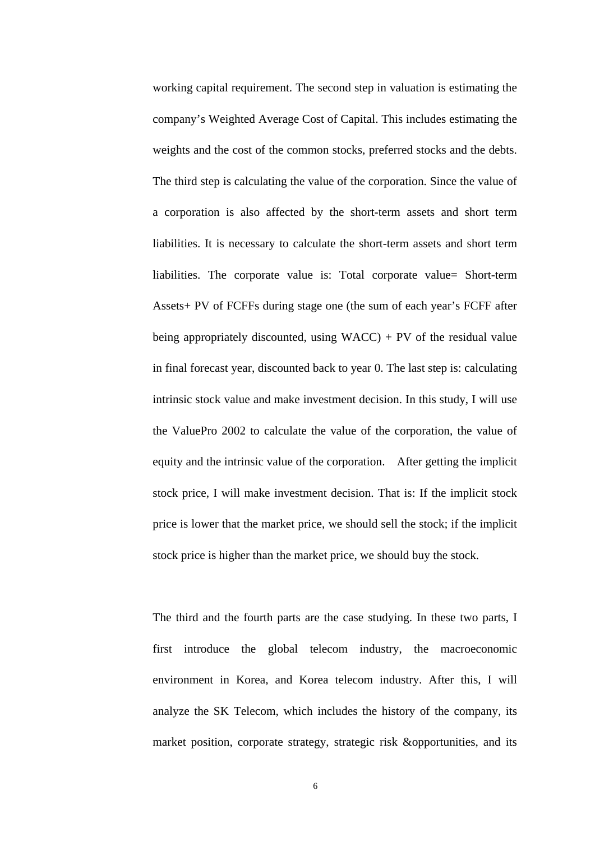working capital requirement. The second step in valuation is estimating the company's Weighted Average Cost of Capital. This includes estimating the weights and the cost of the common stocks, preferred stocks and the debts. The third step is calculating the value of the corporation. Since the value of a corporation is also affected by the short-term assets and short term liabilities. It is necessary to calculate the short-term assets and short term liabilities. The corporate value is: Total corporate value= Short-term Assets+ PV of FCFFs during stage one (the sum of each year's FCFF after being appropriately discounted, using  $WACC$ ) + PV of the residual value in final forecast year, discounted back to year 0. The last step is: calculating intrinsic stock value and make investment decision. In this study, I will use the ValuePro 2002 to calculate the value of the corporation, the value of equity and the intrinsic value of the corporation. After getting the implicit stock price, I will make investment decision. That is: If the implicit stock price is lower that the market price, we should sell the stock; if the implicit stock price is higher than the market price, we should buy the stock.

The third and the fourth parts are the case studying. In these two parts, I first introduce the global telecom industry, the macroeconomic environment in Korea, and Korea telecom industry. After this, I will analyze the SK Telecom, which includes the history of the company, its market position, corporate strategy, strategic risk &opportunities, and its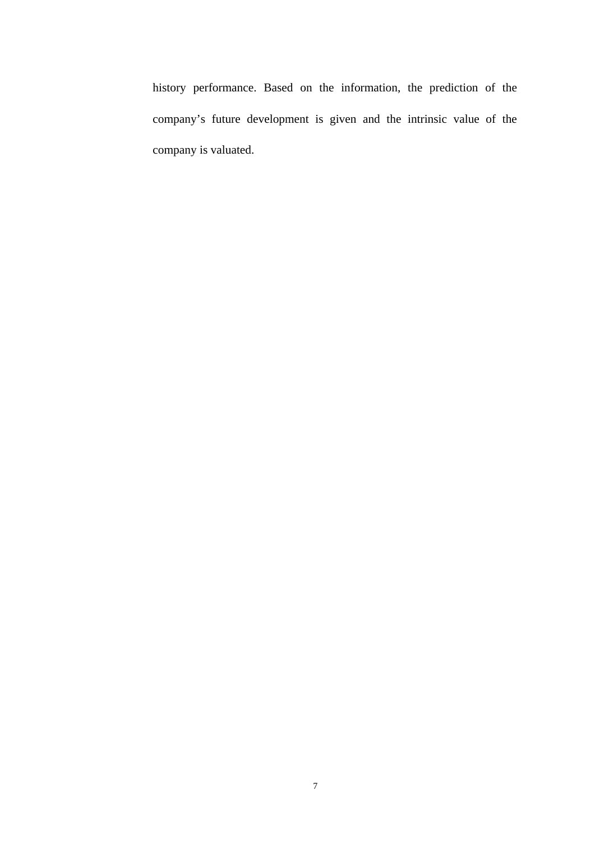history performance. Based on the information, the prediction of the company's future development is given and the intrinsic value of the company is valuated.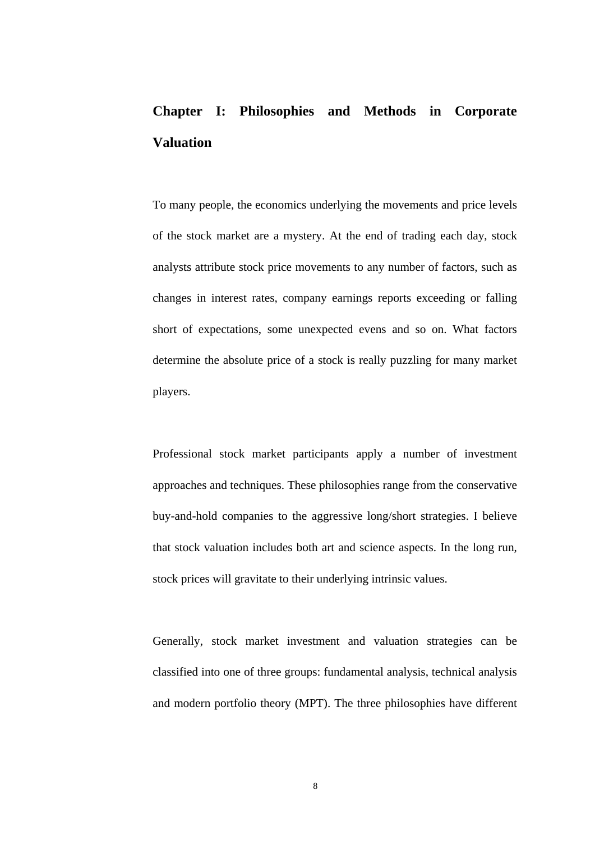# **Chapter I: Philosophies and Methods in Corporate Valuation**

To many people, the economics underlying the movements and price levels of the stock market are a mystery. At the end of trading each day, stock analysts attribute stock price movements to any number of factors, such as changes in interest rates, company earnings reports exceeding or falling short of expectations, some unexpected evens and so on. What factors determine the absolute price of a stock is really puzzling for many market players.

Professional stock market participants apply a number of investment approaches and techniques. These philosophies range from the conservative buy-and-hold companies to the aggressive long/short strategies. I believe that stock valuation includes both art and science aspects. In the long run, stock prices will gravitate to their underlying intrinsic values.

Generally, stock market investment and valuation strategies can be classified into one of three groups: fundamental analysis, technical analysis and modern portfolio theory (MPT). The three philosophies have different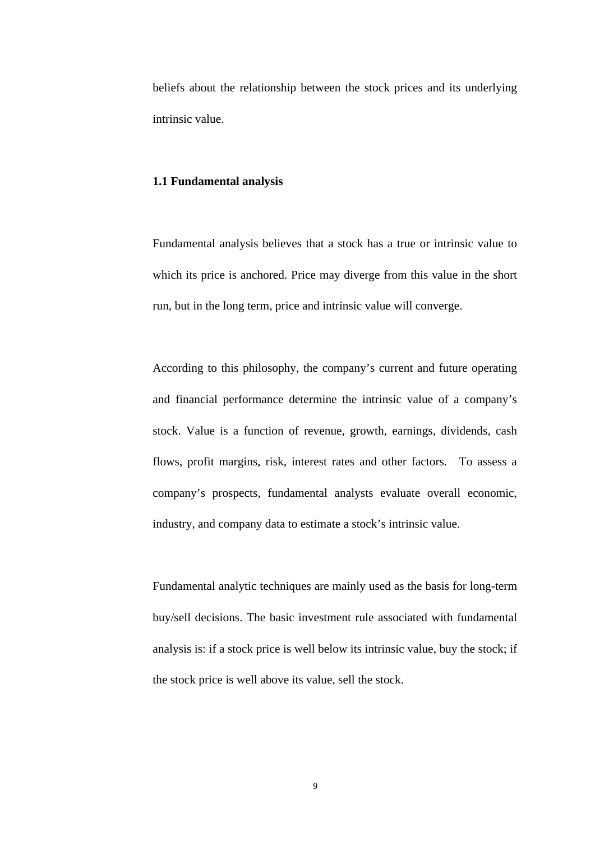beliefs about the relationship between the stock prices and its underlying intrinsic value.

#### **1.1 Fundamental analysis**

Fundamental analysis believes that a stock has a true or intrinsic value to which its price is anchored. Price may diverge from this value in the short run, but in the long term, price and intrinsic value will converge.

According to this philosophy, the company's current and future operating and financial performance determine the intrinsic value of a company's stock. Value is a function of revenue, growth, earnings, dividends, cash flows, profit margins, risk, interest rates and other factors. To assess a company's prospects, fundamental analysts evaluate overall economic, industry, and company data to estimate a stock's intrinsic value.

Fundamental analytic techniques are mainly used as the basis for long-term buy/sell decisions. The basic investment rule associated with fundamental analysis is: if a stock price is well below its intrinsic value, buy the stock; if the stock price is well above its value, sell the stock.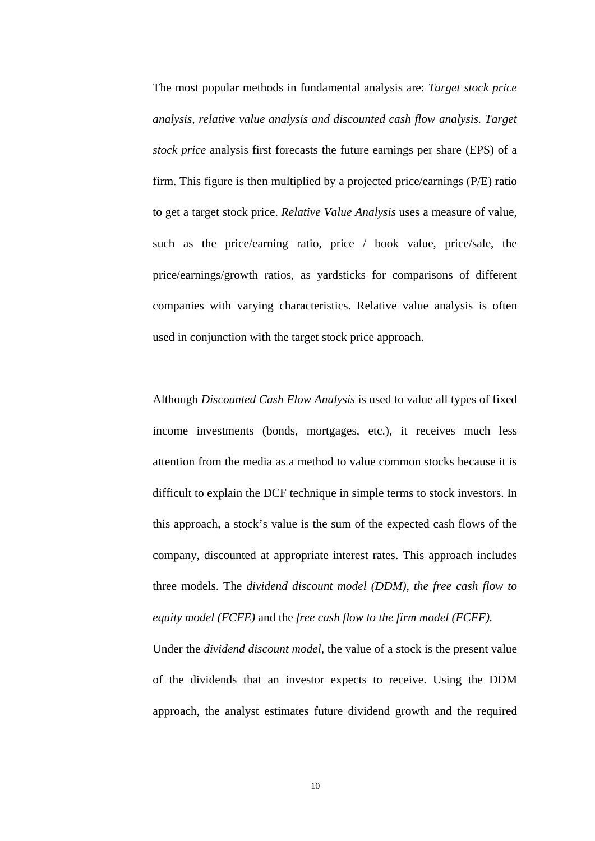The most popular methods in fundamental analysis are: *Target stock price analysis, relative value analysis and discounted cash flow analysis. Target stock price* analysis first forecasts the future earnings per share (EPS) of a firm. This figure is then multiplied by a projected price/earnings (P/E) ratio to get a target stock price. *Relative Value Analysis* uses a measure of value, such as the price/earning ratio, price / book value, price/sale, the price/earnings/growth ratios, as yardsticks for comparisons of different companies with varying characteristics. Relative value analysis is often used in conjunction with the target stock price approach.

Although *Discounted Cash Flow Analysis* is used to value all types of fixed income investments (bonds, mortgages, etc.), it receives much less attention from the media as a method to value common stocks because it is difficult to explain the DCF technique in simple terms to stock investors. In this approach, a stock's value is the sum of the expected cash flows of the company, discounted at appropriate interest rates. This approach includes three models. The *dividend discount model (DDM), the free cash flow to equity model (FCFE)* and the *free cash flow to the firm model (FCFF).*

Under the *dividend discount model*, the value of a stock is the present value of the dividends that an investor expects to receive. Using the DDM approach, the analyst estimates future dividend growth and the required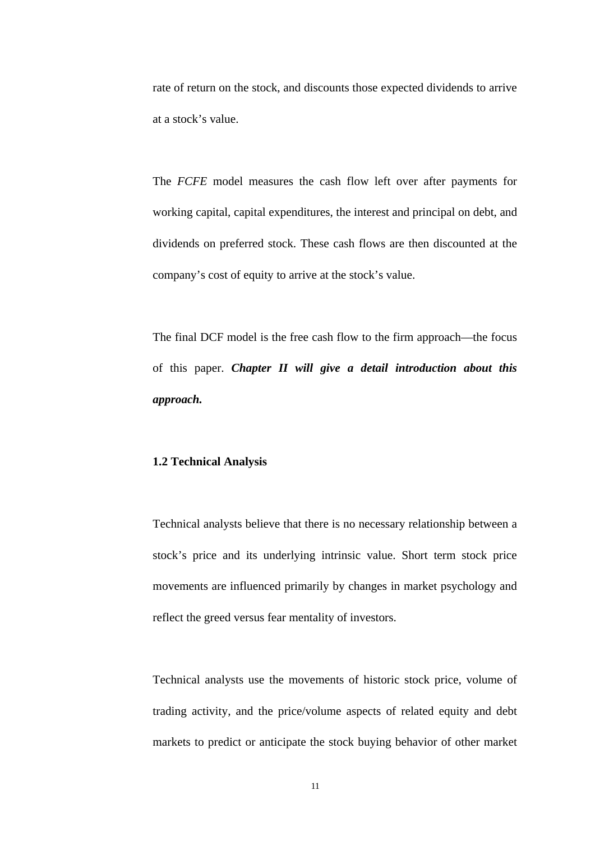rate of return on the stock, and discounts those expected dividends to arrive at a stock's value.

The *FCFE* model measures the cash flow left over after payments for working capital, capital expenditures, the interest and principal on debt, and dividends on preferred stock. These cash flows are then discounted at the company's cost of equity to arrive at the stock's value.

The final DCF model is the free cash flow to the firm approach—the focus of this paper. *Chapter II will give a detail introduction about this approach.*

#### **1.2 Technical Analysis**

Technical analysts believe that there is no necessary relationship between a stock's price and its underlying intrinsic value. Short term stock price movements are influenced primarily by changes in market psychology and reflect the greed versus fear mentality of investors.

Technical analysts use the movements of historic stock price, volume of trading activity, and the price/volume aspects of related equity and debt markets to predict or anticipate the stock buying behavior of other market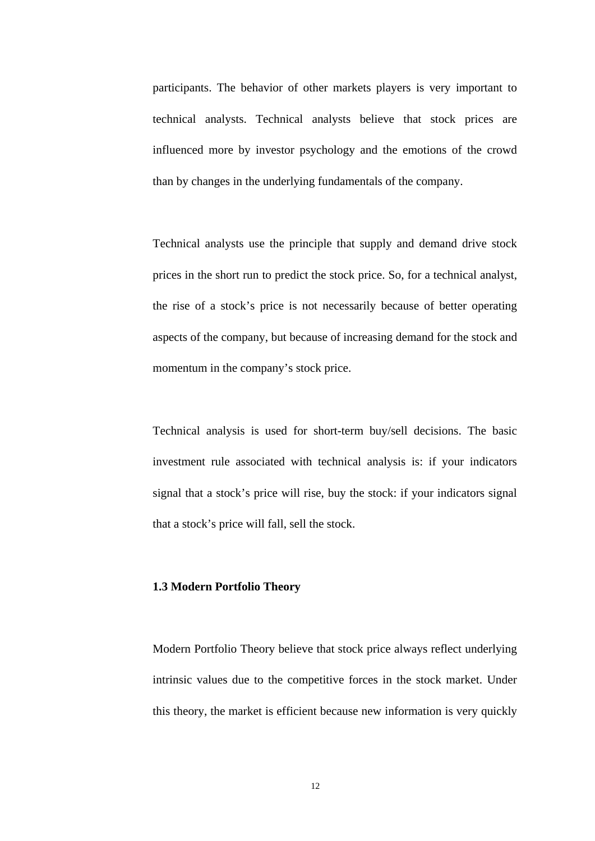participants. The behavior of other markets players is very important to technical analysts. Technical analysts believe that stock prices are influenced more by investor psychology and the emotions of the crowd than by changes in the underlying fundamentals of the company.

Technical analysts use the principle that supply and demand drive stock prices in the short run to predict the stock price. So, for a technical analyst, the rise of a stock's price is not necessarily because of better operating aspects of the company, but because of increasing demand for the stock and momentum in the company's stock price.

Technical analysis is used for short-term buy/sell decisions. The basic investment rule associated with technical analysis is: if your indicators signal that a stock's price will rise, buy the stock: if your indicators signal that a stock's price will fall, sell the stock.

#### **1.3 Modern Portfolio Theory**

Modern Portfolio Theory believe that stock price always reflect underlying intrinsic values due to the competitive forces in the stock market. Under this theory, the market is efficient because new information is very quickly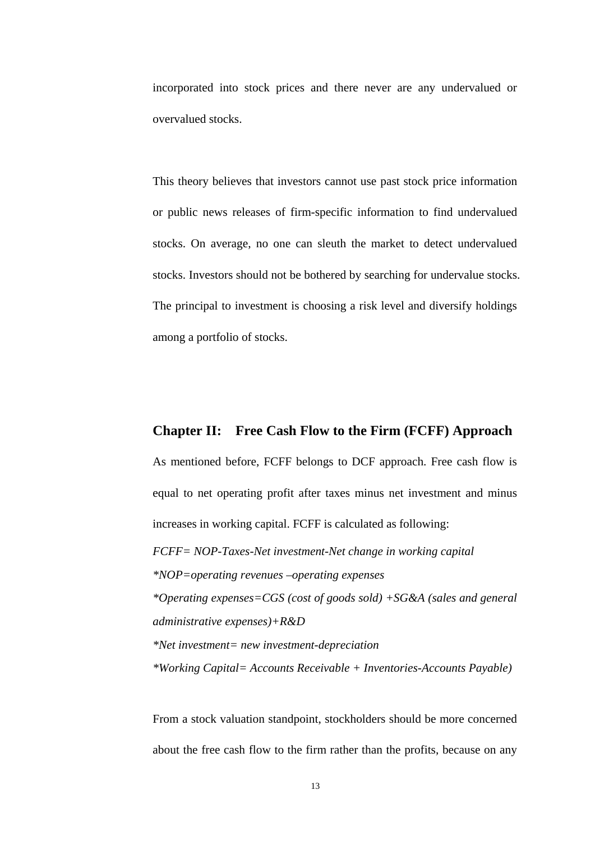incorporated into stock prices and there never are any undervalued or overvalued stocks.

This theory believes that investors cannot use past stock price information or public news releases of firm-specific information to find undervalued stocks. On average, no one can sleuth the market to detect undervalued stocks. Investors should not be bothered by searching for undervalue stocks. The principal to investment is choosing a risk level and diversify holdings among a portfolio of stocks.

#### **Chapter II: Free Cash Flow to the Firm (FCFF) Approach**

As mentioned before, FCFF belongs to DCF approach. Free cash flow is equal to net operating profit after taxes minus net investment and minus increases in working capital. FCFF is calculated as following:

*FCFF= NOP-Taxes-Net investment-Net change in working capital \*NOP=operating revenues –operating expenses \*Operating expenses=CGS (cost of goods sold) +SG&A (sales and general administrative expenses)+R&D \*Net investment= new investment-depreciation* 

*\*Working Capital= Accounts Receivable + Inventories-Accounts Payable)* 

From a stock valuation standpoint, stockholders should be more concerned about the free cash flow to the firm rather than the profits, because on any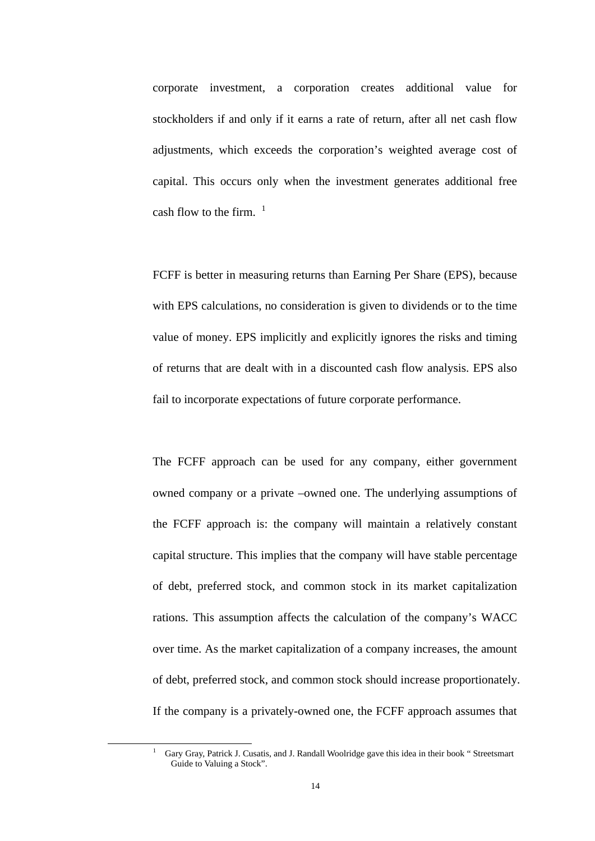corporate investment, a corporation creates additional value for stockholders if and only if it earns a rate of return, after all net cash flow adjustments, which exceeds the corporation's weighted average cost of capital. This occurs only when the investment generates additional free cash flow to the firm.  $1$ 

FCFF is better in measuring returns than Earning Per Share (EPS), because with EPS calculations, no consideration is given to dividends or to the time value of money. EPS implicitly and explicitly ignores the risks and timing of returns that are dealt with in a discounted cash flow analysis. EPS also fail to incorporate expectations of future corporate performance.

The FCFF approach can be used for any company, either government owned company or a private –owned one. The underlying assumptions of the FCFF approach is: the company will maintain a relatively constant capital structure. This implies that the company will have stable percentage of debt, preferred stock, and common stock in its market capitalization rations. This assumption affects the calculation of the company's WACC over time. As the market capitalization of a company increases, the amount of debt, preferred stock, and common stock should increase proportionately. If the company is a privately-owned one, the FCFF approach assumes that

<sup>&</sup>lt;u>1</u> Gary Gray, Patrick J. Cusatis, and J. Randall Woolridge gave this idea in their book " Streetsmart Guide to Valuing a Stock".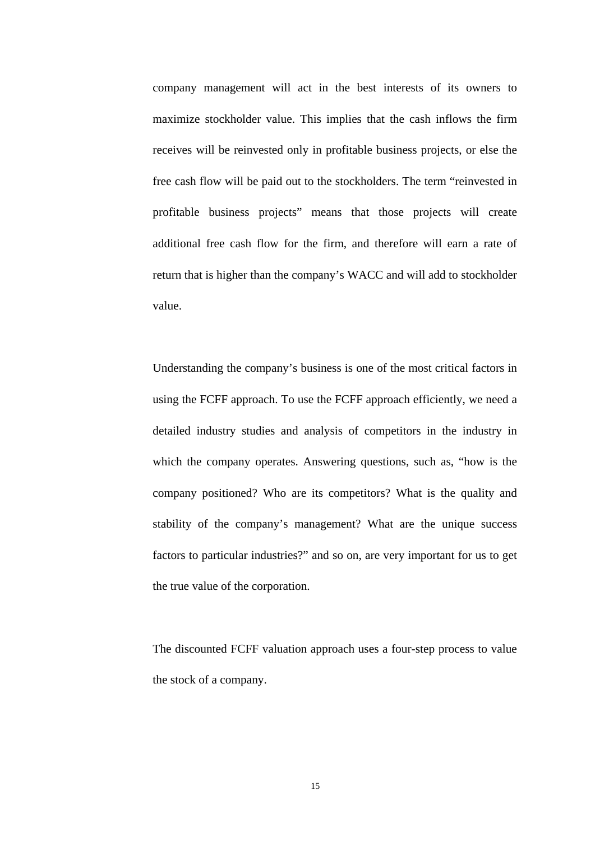company management will act in the best interests of its owners to maximize stockholder value. This implies that the cash inflows the firm receives will be reinvested only in profitable business projects, or else the free cash flow will be paid out to the stockholders. The term "reinvested in profitable business projects" means that those projects will create additional free cash flow for the firm, and therefore will earn a rate of return that is higher than the company's WACC and will add to stockholder value.

Understanding the company's business is one of the most critical factors in using the FCFF approach. To use the FCFF approach efficiently, we need a detailed industry studies and analysis of competitors in the industry in which the company operates. Answering questions, such as, "how is the company positioned? Who are its competitors? What is the quality and stability of the company's management? What are the unique success factors to particular industries?" and so on, are very important for us to get the true value of the corporation.

The discounted FCFF valuation approach uses a four-step process to value the stock of a company.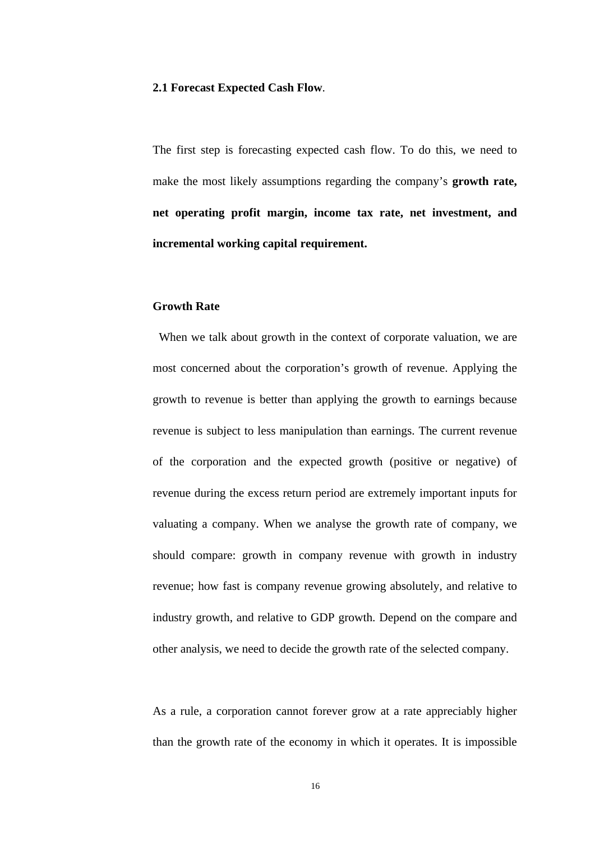#### **2.1 Forecast Expected Cash Flow**.

The first step is forecasting expected cash flow. To do this, we need to make the most likely assumptions regarding the company's **growth rate, net operating profit margin, income tax rate, net investment, and incremental working capital requirement.**

#### **Growth Rate**

 When we talk about growth in the context of corporate valuation, we are most concerned about the corporation's growth of revenue. Applying the growth to revenue is better than applying the growth to earnings because revenue is subject to less manipulation than earnings. The current revenue of the corporation and the expected growth (positive or negative) of revenue during the excess return period are extremely important inputs for valuating a company. When we analyse the growth rate of company, we should compare: growth in company revenue with growth in industry revenue; how fast is company revenue growing absolutely, and relative to industry growth, and relative to GDP growth. Depend on the compare and other analysis, we need to decide the growth rate of the selected company.

As a rule, a corporation cannot forever grow at a rate appreciably higher than the growth rate of the economy in which it operates. It is impossible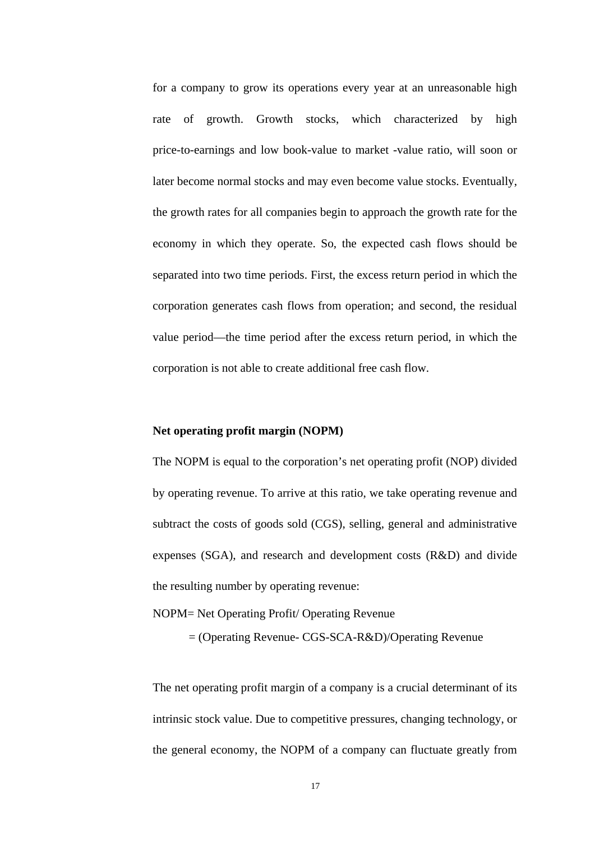for a company to grow its operations every year at an unreasonable high rate of growth. Growth stocks, which characterized by high price-to-earnings and low book-value to market -value ratio, will soon or later become normal stocks and may even become value stocks. Eventually, the growth rates for all companies begin to approach the growth rate for the economy in which they operate. So, the expected cash flows should be separated into two time periods. First, the excess return period in which the corporation generates cash flows from operation; and second, the residual value period—the time period after the excess return period, in which the corporation is not able to create additional free cash flow.

#### **Net operating profit margin (NOPM)**

The NOPM is equal to the corporation's net operating profit (NOP) divided by operating revenue. To arrive at this ratio, we take operating revenue and subtract the costs of goods sold (CGS), selling, general and administrative expenses (SGA), and research and development costs (R&D) and divide the resulting number by operating revenue:

NOPM= Net Operating Profit/ Operating Revenue

= (Operating Revenue- CGS-SCA-R&D)/Operating Revenue

The net operating profit margin of a company is a crucial determinant of its intrinsic stock value. Due to competitive pressures, changing technology, or the general economy, the NOPM of a company can fluctuate greatly from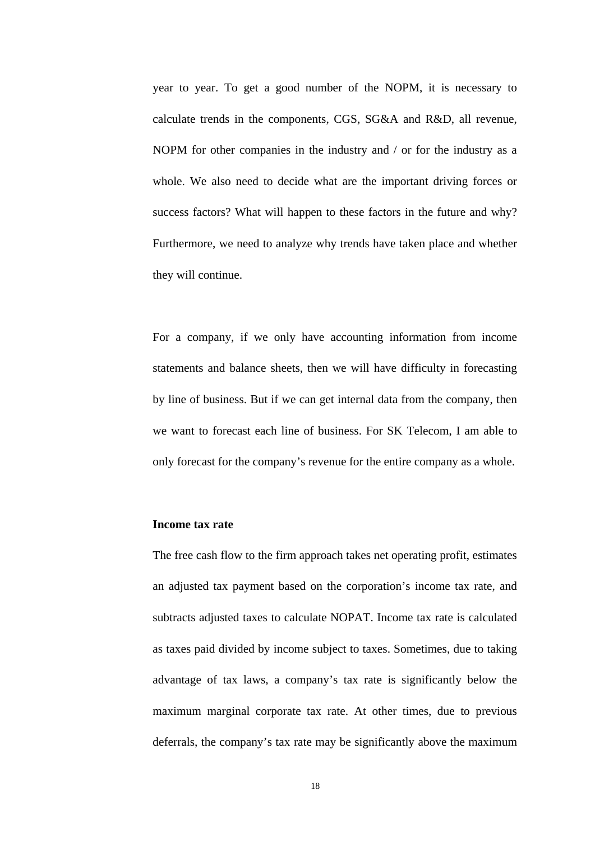year to year. To get a good number of the NOPM, it is necessary to calculate trends in the components, CGS, SG&A and R&D, all revenue, NOPM for other companies in the industry and / or for the industry as a whole. We also need to decide what are the important driving forces or success factors? What will happen to these factors in the future and why? Furthermore, we need to analyze why trends have taken place and whether they will continue.

For a company, if we only have accounting information from income statements and balance sheets, then we will have difficulty in forecasting by line of business. But if we can get internal data from the company, then we want to forecast each line of business. For SK Telecom, I am able to only forecast for the company's revenue for the entire company as a whole.

#### **Income tax rate**

The free cash flow to the firm approach takes net operating profit, estimates an adjusted tax payment based on the corporation's income tax rate, and subtracts adjusted taxes to calculate NOPAT. Income tax rate is calculated as taxes paid divided by income subject to taxes. Sometimes, due to taking advantage of tax laws, a company's tax rate is significantly below the maximum marginal corporate tax rate. At other times, due to previous deferrals, the company's tax rate may be significantly above the maximum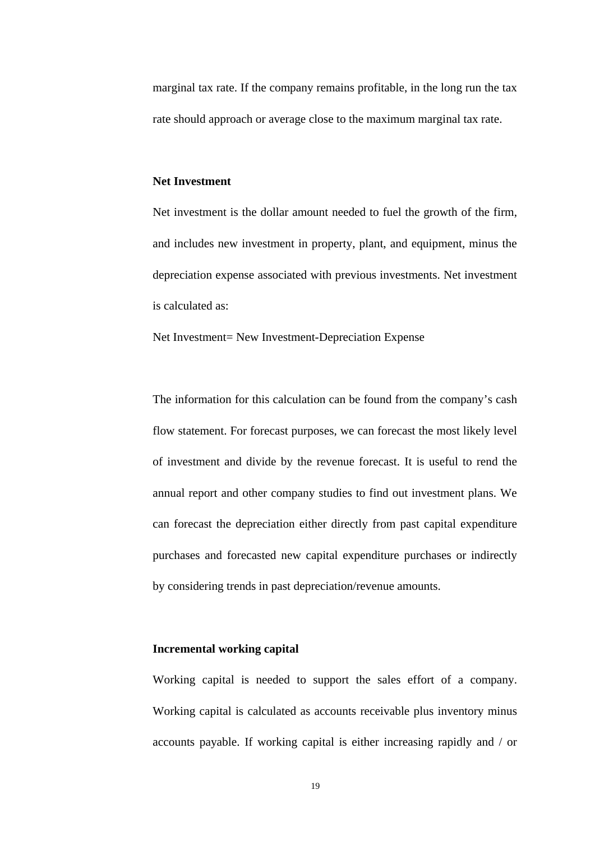marginal tax rate. If the company remains profitable, in the long run the tax rate should approach or average close to the maximum marginal tax rate.

#### **Net Investment**

Net investment is the dollar amount needed to fuel the growth of the firm, and includes new investment in property, plant, and equipment, minus the depreciation expense associated with previous investments. Net investment is calculated as:

Net Investment= New Investment-Depreciation Expense

The information for this calculation can be found from the company's cash flow statement. For forecast purposes, we can forecast the most likely level of investment and divide by the revenue forecast. It is useful to rend the annual report and other company studies to find out investment plans. We can forecast the depreciation either directly from past capital expenditure purchases and forecasted new capital expenditure purchases or indirectly by considering trends in past depreciation/revenue amounts.

#### **Incremental working capital**

Working capital is needed to support the sales effort of a company. Working capital is calculated as accounts receivable plus inventory minus accounts payable. If working capital is either increasing rapidly and / or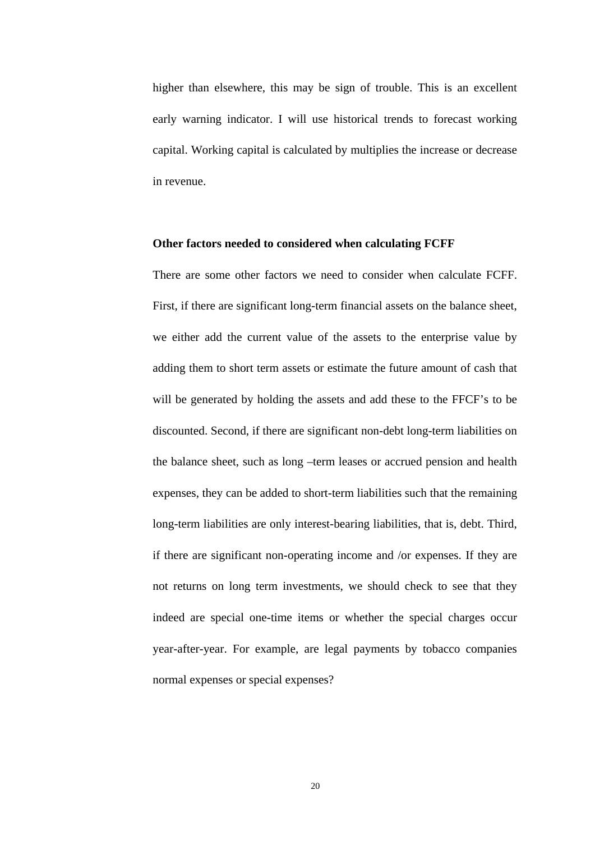higher than elsewhere, this may be sign of trouble. This is an excellent early warning indicator. I will use historical trends to forecast working capital. Working capital is calculated by multiplies the increase or decrease in revenue.

#### **Other factors needed to considered when calculating FCFF**

There are some other factors we need to consider when calculate FCFF. First, if there are significant long-term financial assets on the balance sheet, we either add the current value of the assets to the enterprise value by adding them to short term assets or estimate the future amount of cash that will be generated by holding the assets and add these to the FFCF's to be discounted. Second, if there are significant non-debt long-term liabilities on the balance sheet, such as long –term leases or accrued pension and health expenses, they can be added to short-term liabilities such that the remaining long-term liabilities are only interest-bearing liabilities, that is, debt. Third, if there are significant non-operating income and /or expenses. If they are not returns on long term investments, we should check to see that they indeed are special one-time items or whether the special charges occur year-after-year. For example, are legal payments by tobacco companies normal expenses or special expenses?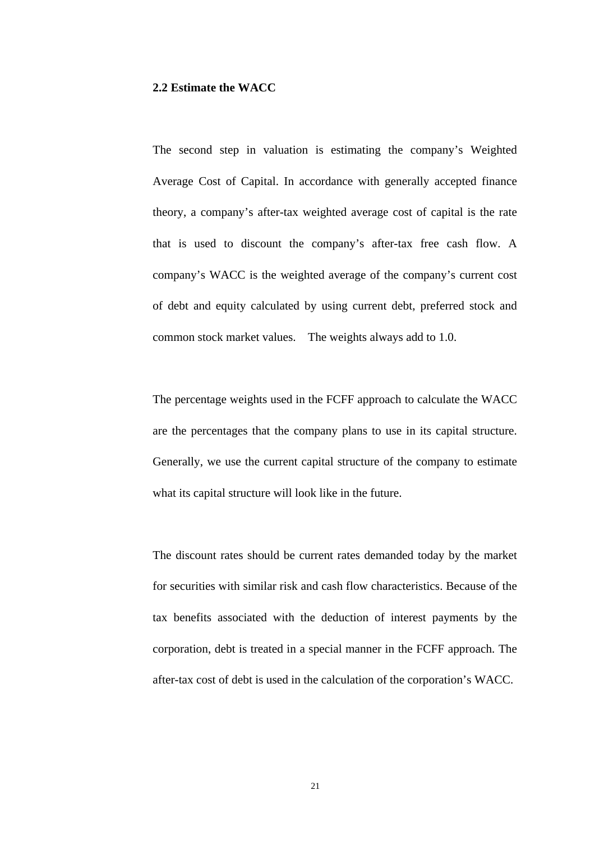#### **2.2 Estimate the WACC**

The second step in valuation is estimating the company's Weighted Average Cost of Capital. In accordance with generally accepted finance theory, a company's after-tax weighted average cost of capital is the rate that is used to discount the company's after-tax free cash flow. A company's WACC is the weighted average of the company's current cost of debt and equity calculated by using current debt, preferred stock and common stock market values. The weights always add to 1.0.

The percentage weights used in the FCFF approach to calculate the WACC are the percentages that the company plans to use in its capital structure. Generally, we use the current capital structure of the company to estimate what its capital structure will look like in the future.

The discount rates should be current rates demanded today by the market for securities with similar risk and cash flow characteristics. Because of the tax benefits associated with the deduction of interest payments by the corporation, debt is treated in a special manner in the FCFF approach. The after-tax cost of debt is used in the calculation of the corporation's WACC.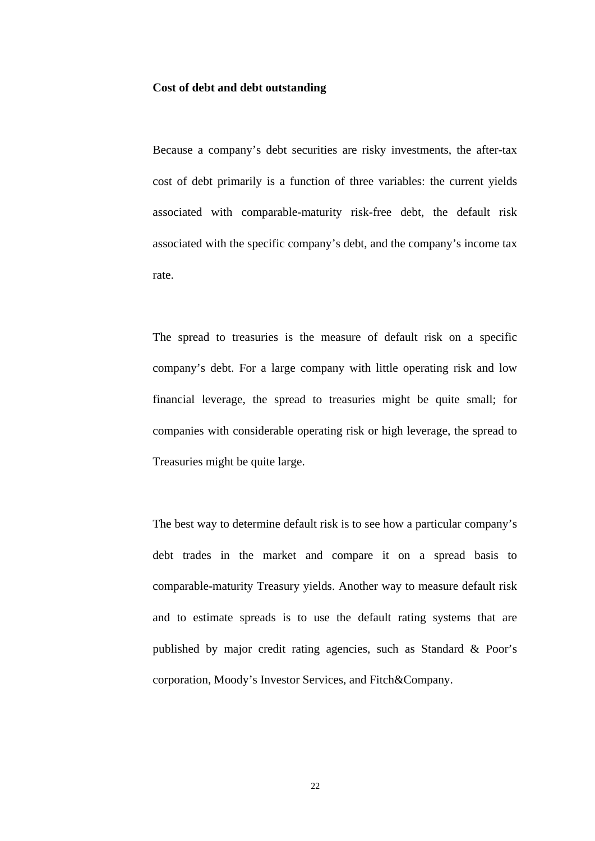#### **Cost of debt and debt outstanding**

Because a company's debt securities are risky investments, the after-tax cost of debt primarily is a function of three variables: the current yields associated with comparable-maturity risk-free debt, the default risk associated with the specific company's debt, and the company's income tax rate.

The spread to treasuries is the measure of default risk on a specific company's debt. For a large company with little operating risk and low financial leverage, the spread to treasuries might be quite small; for companies with considerable operating risk or high leverage, the spread to Treasuries might be quite large.

The best way to determine default risk is to see how a particular company's debt trades in the market and compare it on a spread basis to comparable-maturity Treasury yields. Another way to measure default risk and to estimate spreads is to use the default rating systems that are published by major credit rating agencies, such as Standard & Poor's corporation, Moody's Investor Services, and Fitch&Company.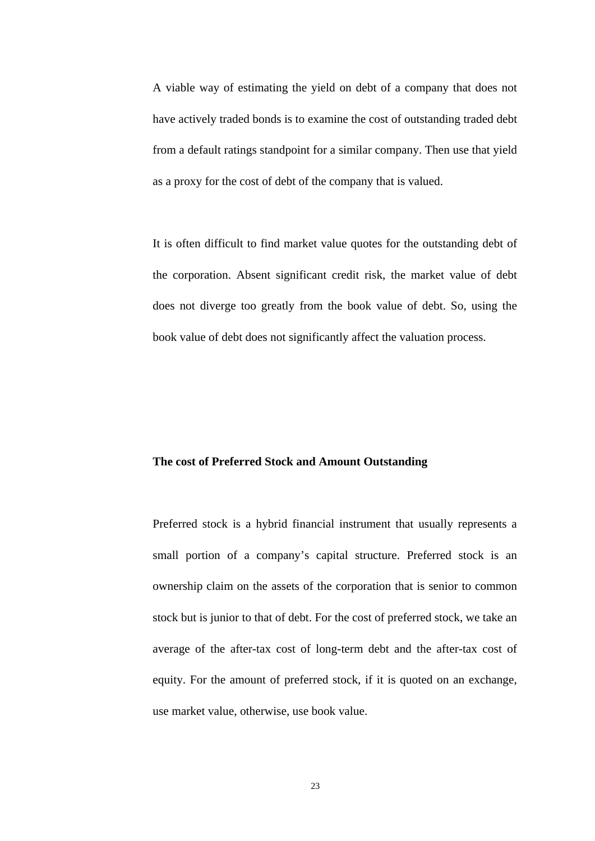A viable way of estimating the yield on debt of a company that does not have actively traded bonds is to examine the cost of outstanding traded debt from a default ratings standpoint for a similar company. Then use that yield as a proxy for the cost of debt of the company that is valued.

It is often difficult to find market value quotes for the outstanding debt of the corporation. Absent significant credit risk, the market value of debt does not diverge too greatly from the book value of debt. So, using the book value of debt does not significantly affect the valuation process.

#### **The cost of Preferred Stock and Amount Outstanding**

Preferred stock is a hybrid financial instrument that usually represents a small portion of a company's capital structure. Preferred stock is an ownership claim on the assets of the corporation that is senior to common stock but is junior to that of debt. For the cost of preferred stock, we take an average of the after-tax cost of long-term debt and the after-tax cost of equity. For the amount of preferred stock, if it is quoted on an exchange, use market value, otherwise, use book value.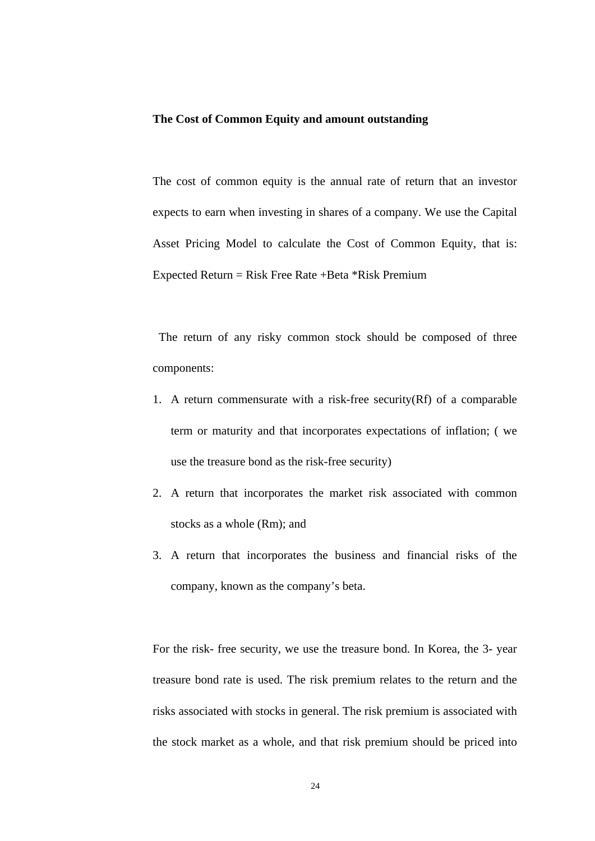#### **The Cost of Common Equity and amount outstanding**

The cost of common equity is the annual rate of return that an investor expects to earn when investing in shares of a company. We use the Capital Asset Pricing Model to calculate the Cost of Common Equity, that is: Expected Return = Risk Free Rate + Beta  $*$ Risk Premium

 The return of any risky common stock should be composed of three components:

- 1. A return commensurate with a risk-free security(Rf) of a comparable term or maturity and that incorporates expectations of inflation; ( we use the treasure bond as the risk-free security)
- 2. A return that incorporates the market risk associated with common stocks as a whole (Rm); and
- 3. A return that incorporates the business and financial risks of the company, known as the company's beta.

For the risk- free security, we use the treasure bond. In Korea, the 3- year treasure bond rate is used. The risk premium relates to the return and the risks associated with stocks in general. The risk premium is associated with the stock market as a whole, and that risk premium should be priced into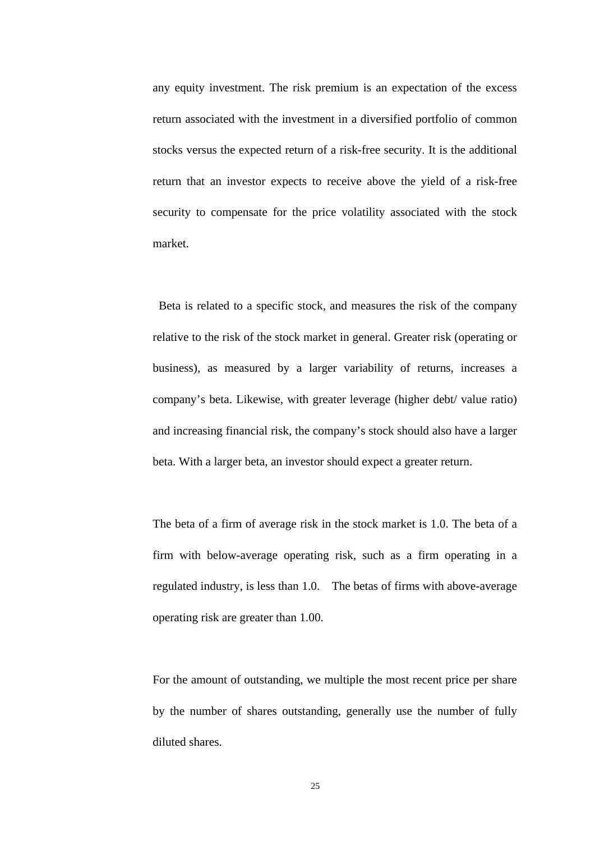any equity investment. The risk premium is an expectation of the excess return associated with the investment in a diversified portfolio of common stocks versus the expected return of a risk-free security. It is the additional return that an investor expects to receive above the yield of a risk-free security to compensate for the price volatility associated with the stock market.

 Beta is related to a specific stock, and measures the risk of the company relative to the risk of the stock market in general. Greater risk (operating or business), as measured by a larger variability of returns, increases a company's beta. Likewise, with greater leverage (higher debt/ value ratio) and increasing financial risk, the company's stock should also have a larger beta. With a larger beta, an investor should expect a greater return.

The beta of a firm of average risk in the stock market is 1.0. The beta of a firm with below-average operating risk, such as a firm operating in a regulated industry, is less than 1.0. The betas of firms with above-average operating risk are greater than 1.00.

For the amount of outstanding, we multiple the most recent price per share by the number of shares outstanding, generally use the number of fully diluted shares.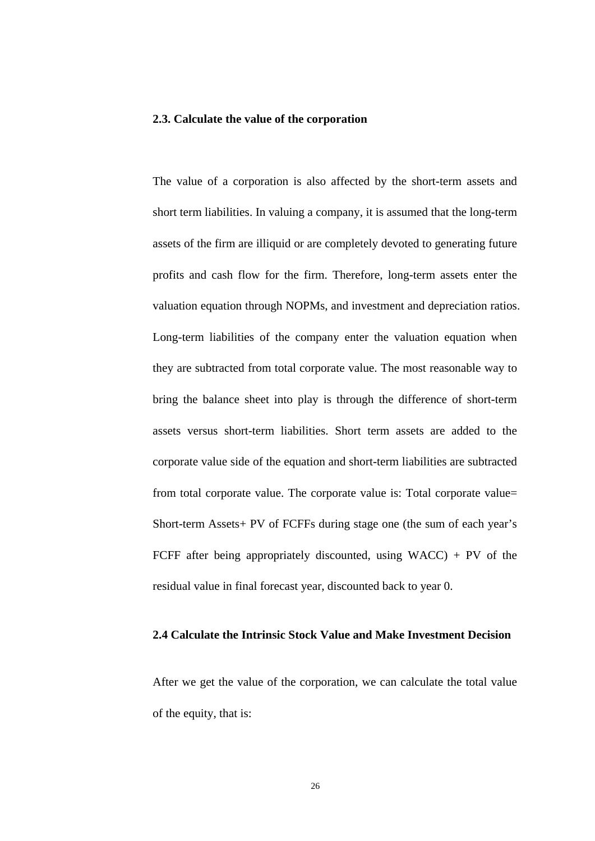#### **2.3. Calculate the value of the corporation**

The value of a corporation is also affected by the short-term assets and short term liabilities. In valuing a company, it is assumed that the long-term assets of the firm are illiquid or are completely devoted to generating future profits and cash flow for the firm. Therefore, long-term assets enter the valuation equation through NOPMs, and investment and depreciation ratios. Long-term liabilities of the company enter the valuation equation when they are subtracted from total corporate value. The most reasonable way to bring the balance sheet into play is through the difference of short-term assets versus short-term liabilities. Short term assets are added to the corporate value side of the equation and short-term liabilities are subtracted from total corporate value. The corporate value is: Total corporate value= Short-term Assets+ PV of FCFFs during stage one (the sum of each year's FCFF after being appropriately discounted, using  $WACC$ ) + PV of the residual value in final forecast year, discounted back to year 0.

#### **2.4 Calculate the Intrinsic Stock Value and Make Investment Decision**

After we get the value of the corporation, we can calculate the total value of the equity, that is: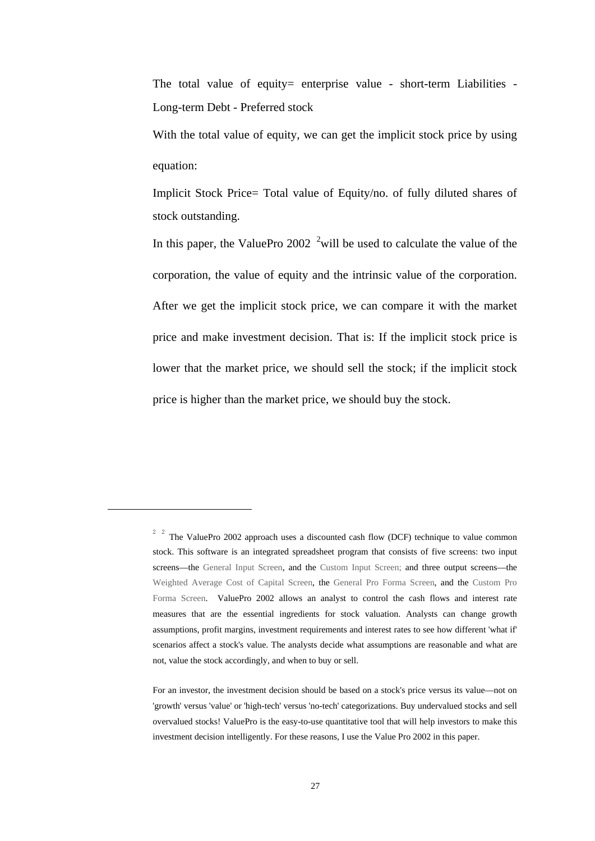The total value of equity= enterprise value - short-term Liabilities -Long-term Debt - Preferred stock

With the total value of equity, we can get the implicit stock price by using equation:

Implicit Stock Price= Total value of Equity/no. of fully diluted shares of stock outstanding.

In this paper, the ValuePro 2002  $2$  will be used to calculate the value of the corporation, the value of equity and the intrinsic value of the corporation. After we get the implicit stock price, we can compare it with the market price and make investment decision. That is: If the implicit stock price is lower that the market price, we should sell the stock; if the implicit stock price is higher than the market price, we should buy the stock.

-

<sup>2</sup> 2 The ValuePro 2002 approach uses a discounted cash flow (DCF) technique to value common stock. This software is an integrated spreadsheet program that consists of five screens: two input screens—the General Input Screen, and the Custom Input Screen; and three output screens—the Weighted Average Cost of Capital Screen, the General Pro Forma Screen, and the Custom Pro Forma Screen. ValuePro 2002 allows an analyst to control the cash flows and interest rate measures that are the essential ingredients for stock valuation. Analysts can change growth assumptions, profit margins, investment requirements and interest rates to see how different 'what if' scenarios affect a stock's value. The analysts decide what assumptions are reasonable and what are not, value the stock accordingly, and when to buy or sell.

For an investor, the investment decision should be based on a stock's price versus its value—not on 'growth' versus 'value' or 'high-tech' versus 'no-tech' categorizations. Buy undervalued stocks and sell overvalued stocks! ValuePro is the easy-to-use quantitative tool that will help investors to make this investment decision intelligently. For these reasons, I use the Value Pro 2002 in this paper.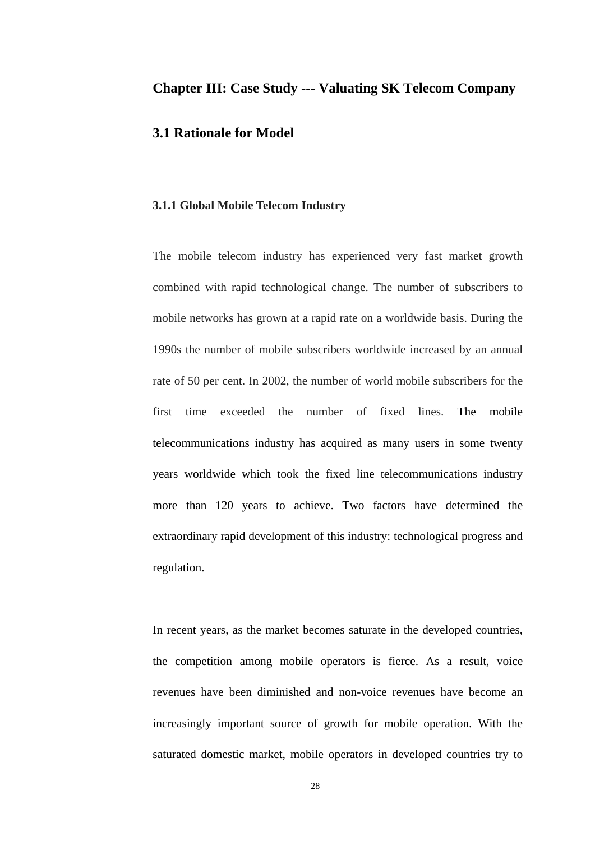## **Chapter III: Case Study** --- **Valuating SK Telecom Company**

### **3.1 Rationale for Model**

#### **3.1.1 Global Mobile Telecom Industry**

The mobile telecom industry has experienced very fast market growth combined with rapid technological change. The number of subscribers to mobile networks has grown at a rapid rate on a worldwide basis. During the 1990s the number of mobile subscribers worldwide increased by an annual rate of 50 per cent. In 2002, the number of world mobile subscribers for the first time exceeded the number of fixed lines. The mobile telecommunications industry has acquired as many users in some twenty years worldwide which took the fixed line telecommunications industry more than 120 years to achieve. Two factors have determined the extraordinary rapid development of this industry: technological progress and regulation.

In recent years, as the market becomes saturate in the developed countries, the competition among mobile operators is fierce. As a result, voice revenues have been diminished and non-voice revenues have become an increasingly important source of growth for mobile operation. With the saturated domestic market, mobile operators in developed countries try to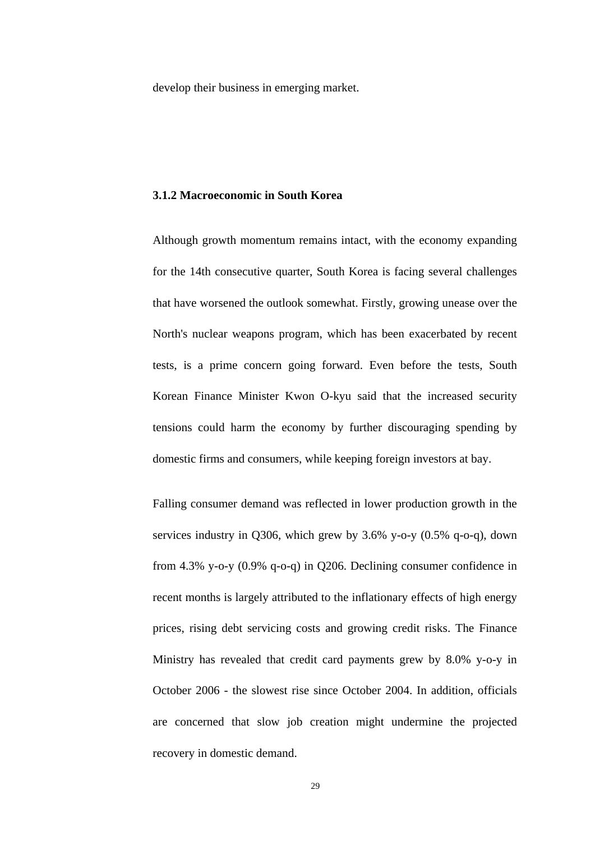develop their business in emerging market.

#### **3.1.2 Macroeconomic in South Korea**

Although growth momentum remains intact, with the economy expanding for the 14th consecutive quarter, South Korea is facing several challenges that have worsened the outlook somewhat. Firstly, growing unease over the North's nuclear weapons program, which has been exacerbated by recent tests, is a prime concern going forward. Even before the tests, South Korean Finance Minister Kwon O-kyu said that the increased security tensions could harm the economy by further discouraging spending by domestic firms and consumers, while keeping foreign investors at bay.

Falling consumer demand was reflected in lower production growth in the services industry in Q306, which grew by 3.6% y-o-y (0.5% q-o-q), down from 4.3% y-o-y (0.9% q-o-q) in Q206. Declining consumer confidence in recent months is largely attributed to the inflationary effects of high energy prices, rising debt servicing costs and growing credit risks. The Finance Ministry has revealed that credit card payments grew by 8.0% y-o-y in October 2006 - the slowest rise since October 2004. In addition, officials are concerned that slow job creation might undermine the projected recovery in domestic demand.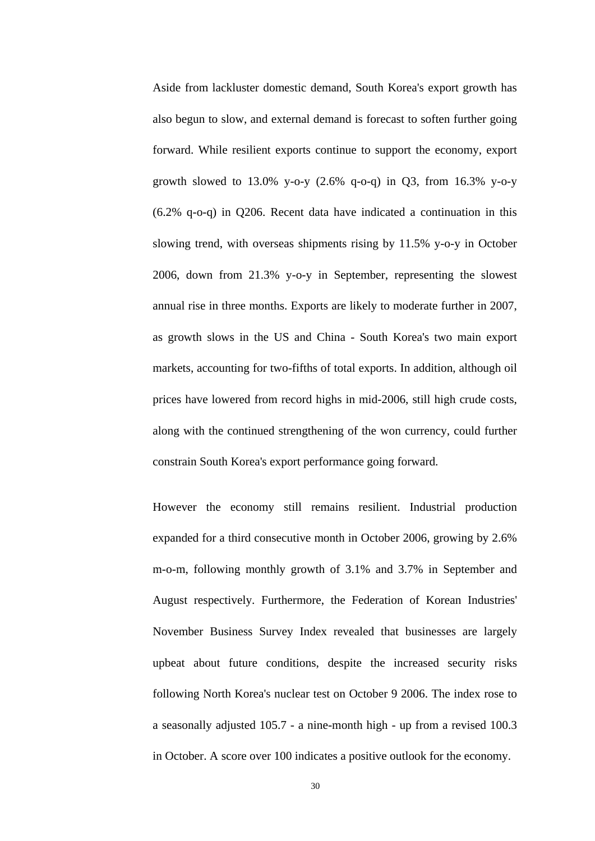Aside from lackluster domestic demand, South Korea's export growth has also begun to slow, and external demand is forecast to soften further going forward. While resilient exports continue to support the economy, export growth slowed to 13.0% y-o-y  $(2.6\% \text{ q}-o-q)$  in Q3, from 16.3% y-o-y (6.2% q-o-q) in Q206. Recent data have indicated a continuation in this slowing trend, with overseas shipments rising by 11.5% y-o-y in October 2006, down from 21.3% y-o-y in September, representing the slowest annual rise in three months. Exports are likely to moderate further in 2007, as growth slows in the US and China - South Korea's two main export markets, accounting for two-fifths of total exports. In addition, although oil prices have lowered from record highs in mid-2006, still high crude costs, along with the continued strengthening of the won currency, could further constrain South Korea's export performance going forward.

However the economy still remains resilient. Industrial production expanded for a third consecutive month in October 2006, growing by 2.6% m-o-m, following monthly growth of 3.1% and 3.7% in September and August respectively. Furthermore, the Federation of Korean Industries' November Business Survey Index revealed that businesses are largely upbeat about future conditions, despite the increased security risks following North Korea's nuclear test on October 9 2006. The index rose to a seasonally adjusted 105.7 - a nine-month high - up from a revised 100.3 in October. A score over 100 indicates a positive outlook for the economy.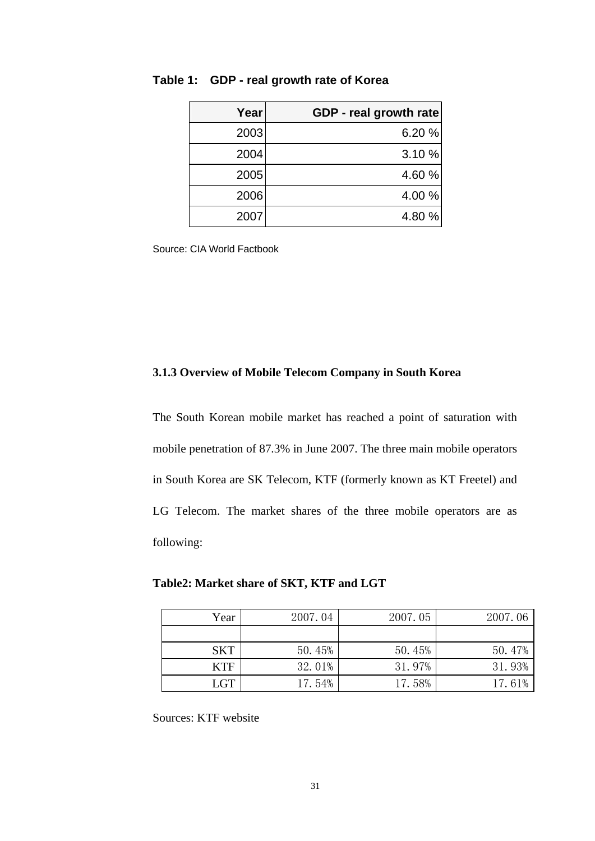| Year | GDP - real growth rate |
|------|------------------------|
| 2003 | 6.20%                  |
| 2004 | 3.10 %                 |
| 2005 | 4.60 %                 |
| 2006 | 4.00 %                 |
| 2007 | 4.80 %                 |

#### **Table 1: GDP - real growth rate of Korea**

Source: CIA World Factbook

#### **3.1.3 Overview of Mobile Telecom Company in South Korea**

The South Korean mobile market has reached a point of saturation with mobile penetration of 87.3% in June 2007. The three main mobile operators in South Korea are SK Telecom, KTF (formerly known as KT Freetel) and LG Telecom. The market shares of the three mobile operators are as following:

**Table2: Market share of SKT, KTF and LGT** 

| Year       | 2007.04 | 2007.05 | 2007.06 |
|------------|---------|---------|---------|
|            |         |         |         |
| <b>SKT</b> | 50.45%  | 50.45%  | 50.47%  |
| <b>KTF</b> | 32.01%  | 31.97%  | 31.93%  |
| <b>LGT</b> | 17.54%  | 17.58%  | 17.61%  |

Sources: KTF website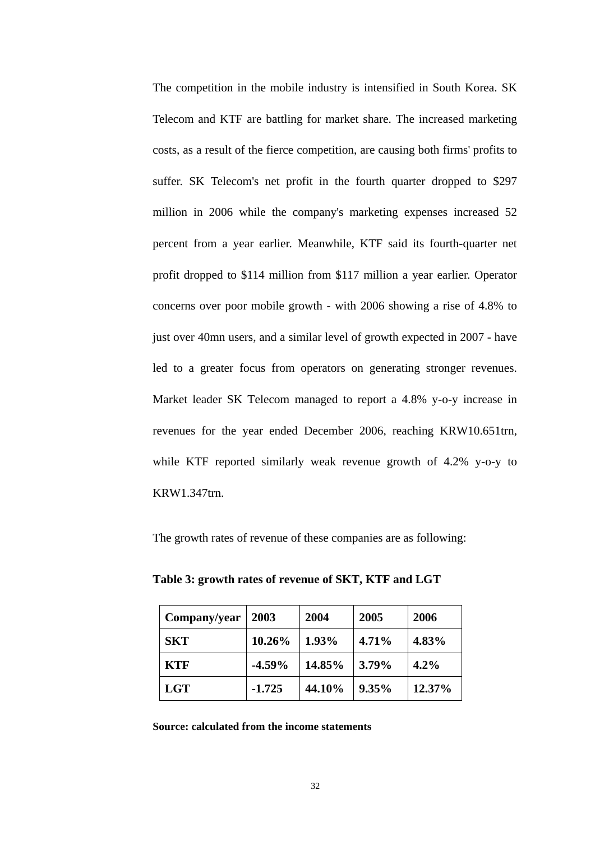The competition in the mobile industry is intensified in South Korea. SK Telecom and KTF are battling for market share. The increased marketing costs, as a result of the fierce competition, are causing both firms' profits to suffer. SK Telecom's net profit in the fourth quarter dropped to \$297 million in 2006 while the company's marketing expenses increased 52 percent from a year earlier. Meanwhile, KTF said its fourth-quarter net profit dropped to \$114 million from \$117 million a year earlier. Operator concerns over poor mobile growth - with 2006 showing a rise of 4.8% to just over 40mn users, and a similar level of growth expected in 2007 - have led to a greater focus from operators on generating stronger revenues. Market leader SK Telecom managed to report a 4.8% y-o-y increase in revenues for the year ended December 2006, reaching KRW10.651trn, while KTF reported similarly weak revenue growth of 4.2% y-o-y to KRW1.347trn.

The growth rates of revenue of these companies are as following:

**Table 3: growth rates of revenue of SKT, KTF and LGT** 

| Company/year | 2003     | 2004   | 2005  | 2006   |
|--------------|----------|--------|-------|--------|
| <b>SKT</b>   | 10.26%   | 1.93%  | 4.71% | 4.83%  |
| <b>KTF</b>   | $-4.59%$ | 14.85% | 3.79% | 4.2%   |
| <b>LGT</b>   | $-1.725$ | 44.10% | 9.35% | 12.37% |

**Source: calculated from the income statements**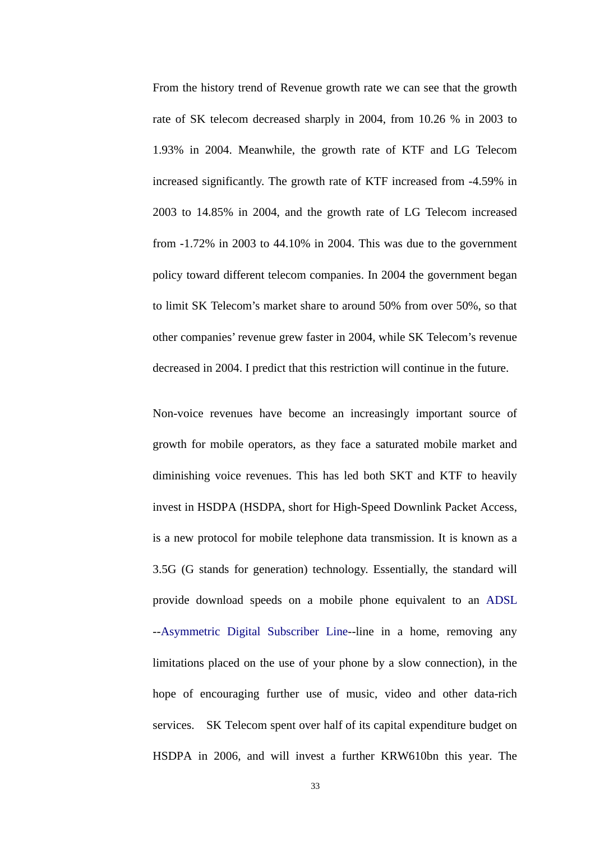From the history trend of Revenue growth rate we can see that the growth rate of SK telecom decreased sharply in 2004, from 10.26 % in 2003 to 1.93% in 2004. Meanwhile, the growth rate of KTF and LG Telecom increased significantly. The growth rate of KTF increased from -4.59% in 2003 to 14.85% in 2004, and the growth rate of LG Telecom increased from -1.72% in 2003 to 44.10% in 2004. This was due to the government policy toward different telecom companies. In 2004 the government began to limit SK Telecom's market share to around 50% from over 50%, so that other companies' revenue grew faster in 2004, while SK Telecom's revenue decreased in 2004. I predict that this restriction will continue in the future.

Non-voice revenues have become an increasingly important source of growth for mobile operators, as they face a saturated mobile market and diminishing voice revenues. This has led both SKT and KTF to heavily invest in HSDPA (HSDPA, short for High-Speed Downlink Packet Access, is a new protocol for mobile telephone data transmission. It is known as a 3.5G (G stands for generation) technology. Essentially, the standard will provide download speeds on a mobile phone equivalent to an ADSL --Asymmetric Digital Subscriber Line--line in a home, removing any limitations placed on the use of your phone by a slow connection), in the hope of encouraging further use of music, video and other data-rich services. SK Telecom spent over half of its capital expenditure budget on HSDPA in 2006, and will invest a further KRW610bn this year. The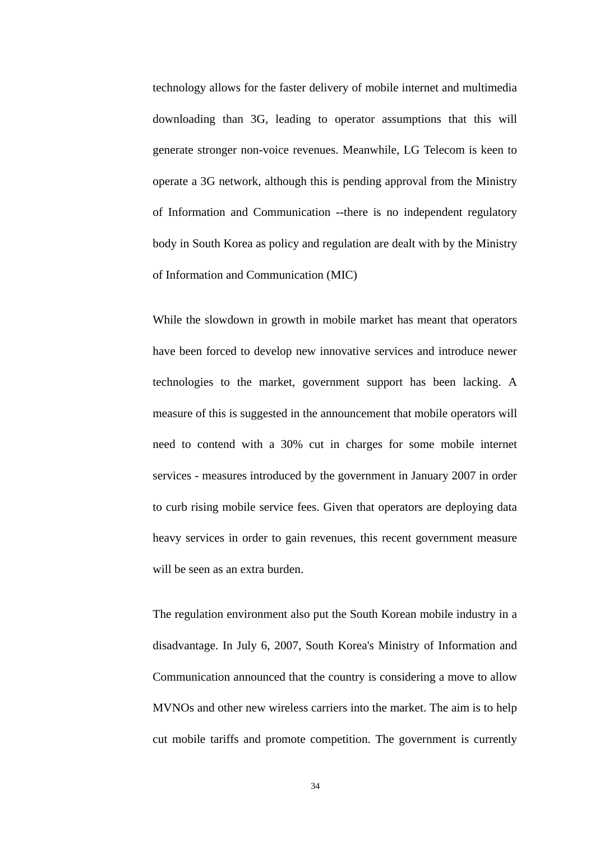technology allows for the faster delivery of mobile internet and multimedia downloading than 3G, leading to operator assumptions that this will generate stronger non-voice revenues. Meanwhile, LG Telecom is keen to operate a 3G network, although this is pending approval from the Ministry of Information and Communication --there is no independent regulatory body in South Korea as policy and regulation are dealt with by the Ministry of Information and Communication (MIC)

While the slowdown in growth in mobile market has meant that operators have been forced to develop new innovative services and introduce newer technologies to the market, government support has been lacking. A measure of this is suggested in the announcement that mobile operators will need to contend with a 30% cut in charges for some mobile internet services - measures introduced by the government in January 2007 in order to curb rising mobile service fees. Given that operators are deploying data heavy services in order to gain revenues, this recent government measure will be seen as an extra burden.

The regulation environment also put the South Korean mobile industry in a disadvantage. In July 6, 2007, South Korea's Ministry of Information and Communication announced that the country is considering a move to allow MVNOs and other new wireless carriers into the market. The aim is to help cut mobile tariffs and promote competition. The government is currently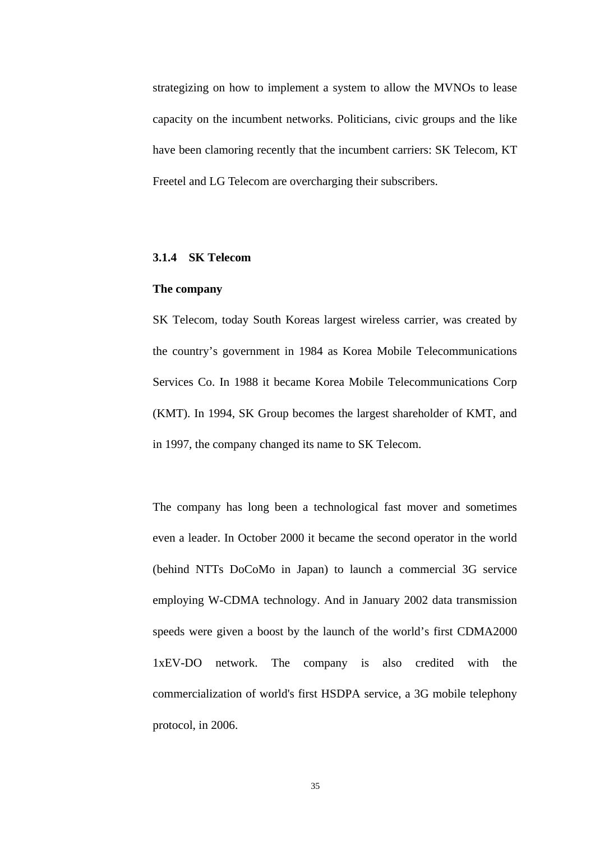strategizing on how to implement a system to allow the MVNOs to lease capacity on the incumbent networks. Politicians, civic groups and the like have been clamoring recently that the incumbent carriers: SK Telecom, KT Freetel and LG Telecom are overcharging their subscribers.

#### **3.1.4 SK Telecom**

#### **The company**

SK Telecom, today South Koreas largest wireless carrier, was created by the country's government in 1984 as Korea Mobile Telecommunications Services Co. In 1988 it became Korea Mobile Telecommunications Corp (KMT). In 1994, SK Group becomes the largest shareholder of KMT, and in 1997, the company changed its name to SK Telecom.

The company has long been a technological fast mover and sometimes even a leader. In October 2000 it became the second operator in the world (behind NTTs DoCoMo in Japan) to launch a commercial 3G service employing W-CDMA technology. And in January 2002 data transmission speeds were given a boost by the launch of the world's first CDMA2000 1xEV-DO network. The company is also credited with the commercialization of world's first HSDPA service, a 3G mobile telephony protocol, in 2006.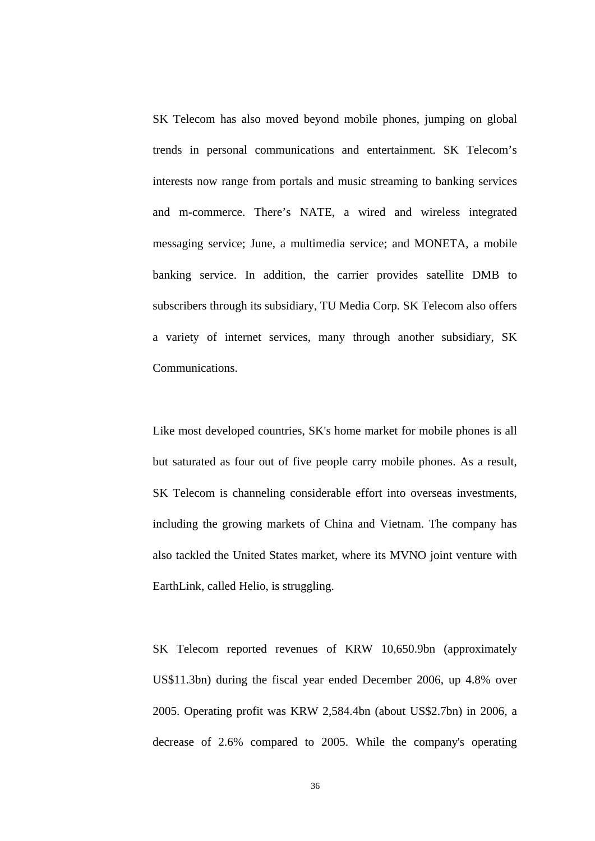SK Telecom has also moved beyond mobile phones, jumping on global trends in personal communications and entertainment. SK Telecom's interests now range from portals and music streaming to banking services and m-commerce. There's NATE, a wired and wireless integrated messaging service; June, a multimedia service; and MONETA, a mobile banking service. In addition, the carrier provides satellite DMB to subscribers through its subsidiary, TU Media Corp. SK Telecom also offers a variety of internet services, many through another subsidiary, SK Communications.

Like most developed countries, SK's home market for mobile phones is all but saturated as four out of five people carry mobile phones. As a result, SK Telecom is channeling considerable effort into overseas investments, including the growing markets of China and Vietnam. The company has also tackled the United States market, where its MVNO joint venture with EarthLink, called Helio, is struggling.

SK Telecom reported revenues of KRW 10,650.9bn (approximately US\$11.3bn) during the fiscal year ended December 2006, up 4.8% over 2005. Operating profit was KRW 2,584.4bn (about US\$2.7bn) in 2006, a decrease of 2.6% compared to 2005. While the company's operating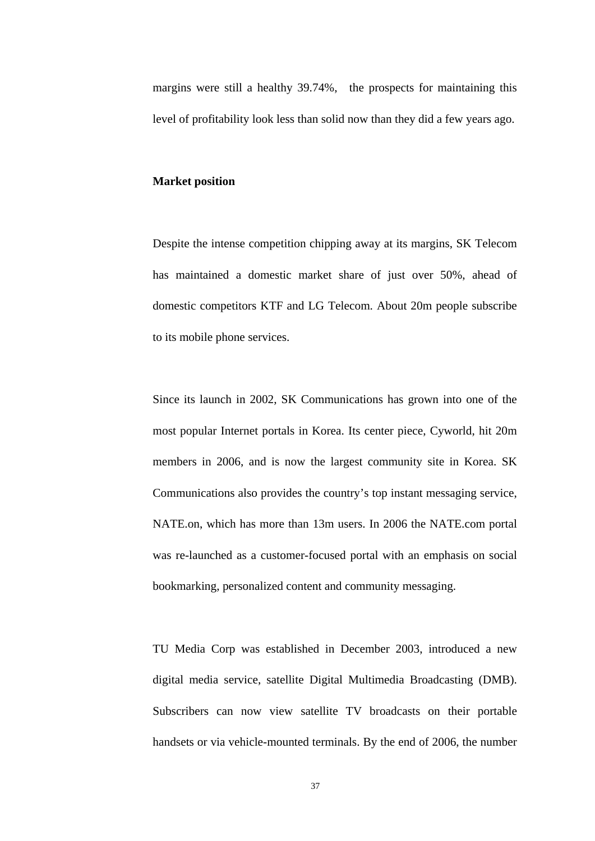margins were still a healthy 39.74%, the prospects for maintaining this level of profitability look less than solid now than they did a few years ago.

#### **Market position**

Despite the intense competition chipping away at its margins, SK Telecom has maintained a domestic market share of just over 50%, ahead of domestic competitors KTF and LG Telecom. About 20m people subscribe to its mobile phone services.

Since its launch in 2002, SK Communications has grown into one of the most popular Internet portals in Korea. Its center piece, Cyworld, hit 20m members in 2006, and is now the largest community site in Korea. SK Communications also provides the country's top instant messaging service, NATE.on, which has more than 13m users. In 2006 the NATE.com portal was re-launched as a customer-focused portal with an emphasis on social bookmarking, personalized content and community messaging.

TU Media Corp was established in December 2003, introduced a new digital media service, satellite Digital Multimedia Broadcasting (DMB). Subscribers can now view satellite TV broadcasts on their portable handsets or via vehicle-mounted terminals. By the end of 2006, the number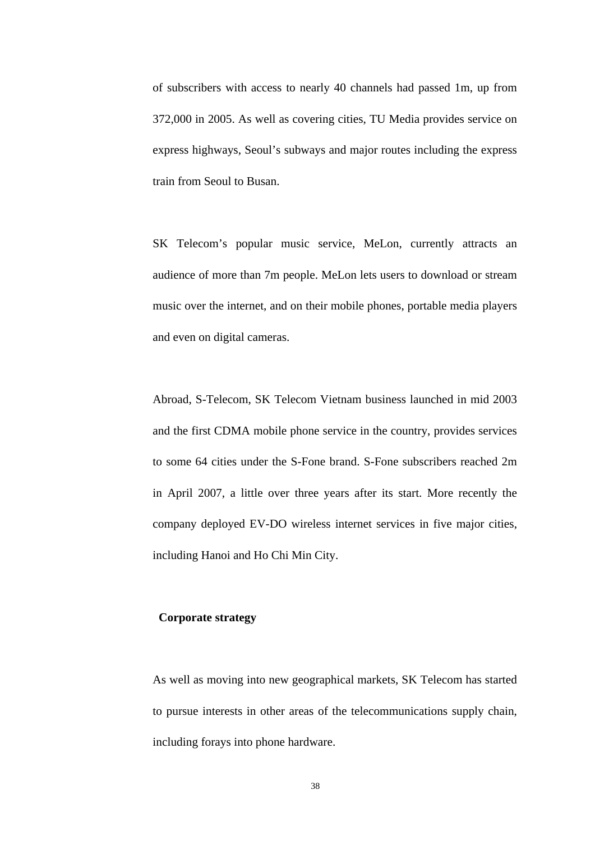of subscribers with access to nearly 40 channels had passed 1m, up from 372,000 in 2005. As well as covering cities, TU Media provides service on express highways, Seoul's subways and major routes including the express train from Seoul to Busan.

SK Telecom's popular music service, MeLon, currently attracts an audience of more than 7m people. MeLon lets users to download or stream music over the internet, and on their mobile phones, portable media players and even on digital cameras.

Abroad, S-Telecom, SK Telecom Vietnam business launched in mid 2003 and the first CDMA mobile phone service in the country, provides services to some 64 cities under the S-Fone brand. S-Fone subscribers reached 2m in April 2007, a little over three years after its start. More recently the company deployed EV-DO wireless internet services in five major cities, including Hanoi and Ho Chi Min City.

## **Corporate strategy**

As well as moving into new geographical markets, SK Telecom has started to pursue interests in other areas of the telecommunications supply chain, including forays into phone hardware.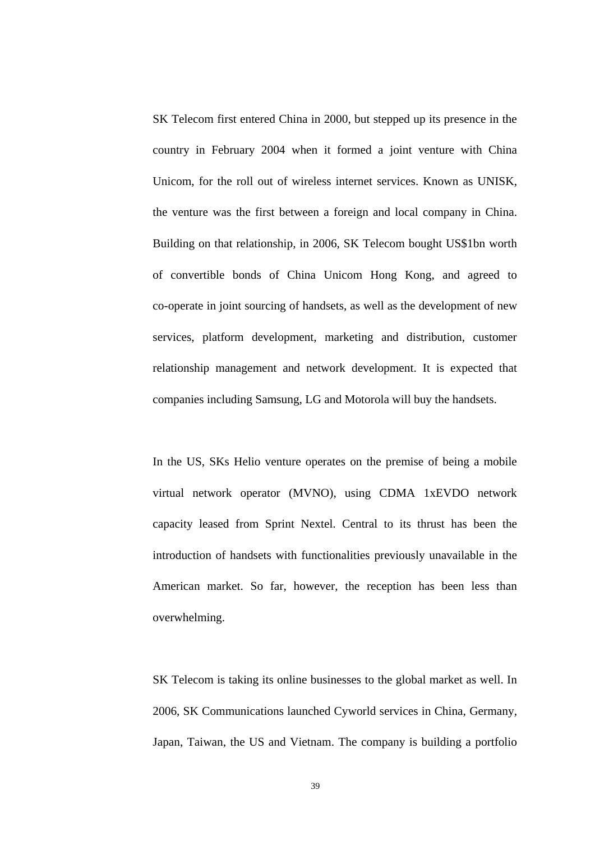SK Telecom first entered China in 2000, but stepped up its presence in the country in February 2004 when it formed a joint venture with China Unicom, for the roll out of wireless internet services. Known as UNISK, the venture was the first between a foreign and local company in China. Building on that relationship, in 2006, SK Telecom bought US\$1bn worth of convertible bonds of China Unicom Hong Kong, and agreed to co-operate in joint sourcing of handsets, as well as the development of new services, platform development, marketing and distribution, customer relationship management and network development. It is expected that companies including Samsung, LG and Motorola will buy the handsets.

In the US, SKs Helio venture operates on the premise of being a mobile virtual network operator (MVNO), using CDMA 1xEVDO network capacity leased from Sprint Nextel. Central to its thrust has been the introduction of handsets with functionalities previously unavailable in the American market. So far, however, the reception has been less than overwhelming.

SK Telecom is taking its online businesses to the global market as well. In 2006, SK Communications launched Cyworld services in China, Germany, Japan, Taiwan, the US and Vietnam. The company is building a portfolio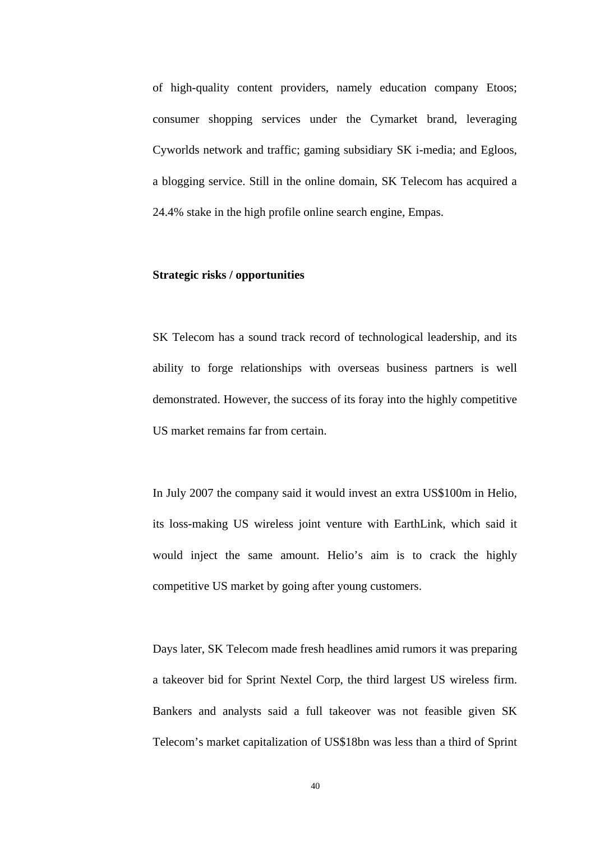of high-quality content providers, namely education company Etoos; consumer shopping services under the Cymarket brand, leveraging Cyworlds network and traffic; gaming subsidiary SK i-media; and Egloos, a blogging service. Still in the online domain, SK Telecom has acquired a 24.4% stake in the high profile online search engine, Empas.

#### **Strategic risks / opportunities**

SK Telecom has a sound track record of technological leadership, and its ability to forge relationships with overseas business partners is well demonstrated. However, the success of its foray into the highly competitive US market remains far from certain.

In July 2007 the company said it would invest an extra US\$100m in Helio, its loss-making US wireless joint venture with EarthLink, which said it would inject the same amount. Helio's aim is to crack the highly competitive US market by going after young customers.

Days later, SK Telecom made fresh headlines amid rumors it was preparing a takeover bid for Sprint Nextel Corp, the third largest US wireless firm. Bankers and analysts said a full takeover was not feasible given SK Telecom's market capitalization of US\$18bn was less than a third of Sprint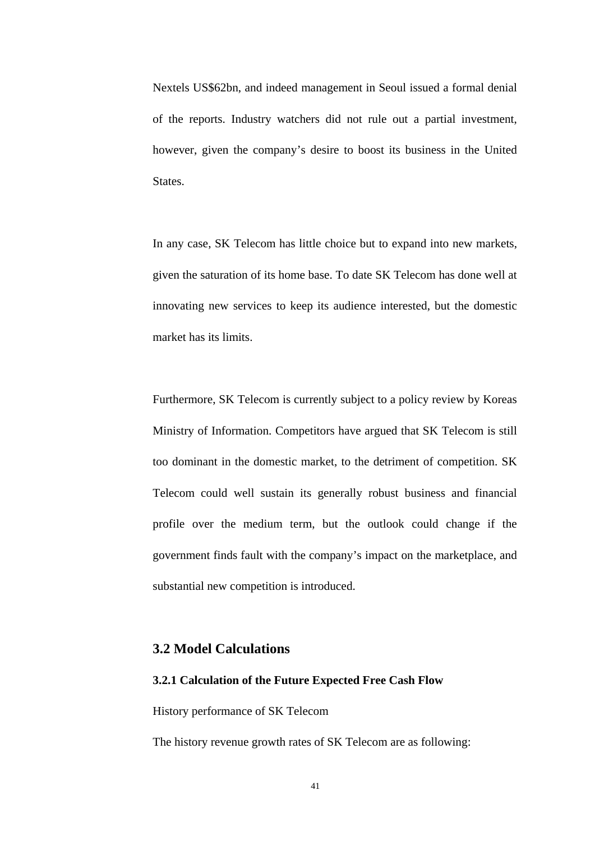Nextels US\$62bn, and indeed management in Seoul issued a formal denial of the reports. Industry watchers did not rule out a partial investment, however, given the company's desire to boost its business in the United States.

In any case, SK Telecom has little choice but to expand into new markets, given the saturation of its home base. To date SK Telecom has done well at innovating new services to keep its audience interested, but the domestic market has its limits.

Furthermore, SK Telecom is currently subject to a policy review by Koreas Ministry of Information. Competitors have argued that SK Telecom is still too dominant in the domestic market, to the detriment of competition. SK Telecom could well sustain its generally robust business and financial profile over the medium term, but the outlook could change if the government finds fault with the company's impact on the marketplace, and substantial new competition is introduced.

#### **3.2 Model Calculations**

#### **3.2.1 Calculation of the Future Expected Free Cash Flow**

History performance of SK Telecom

The history revenue growth rates of SK Telecom are as following: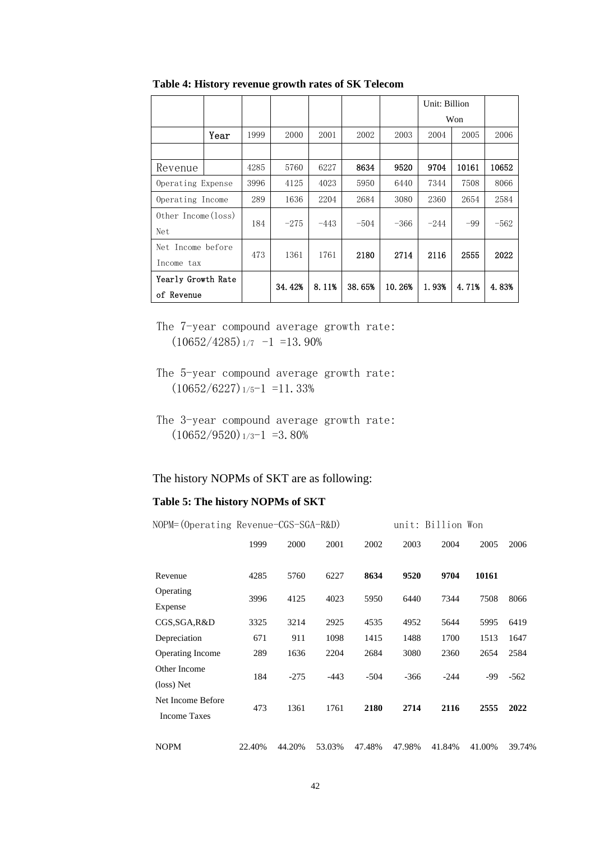|                     |      |      |        |        |        |        | Unit: Billion |       |        |
|---------------------|------|------|--------|--------|--------|--------|---------------|-------|--------|
|                     |      |      |        |        |        |        |               | Won   |        |
|                     | Year | 1999 | 2000   | 2001   | 2002   | 2003   | 2004          | 2005  | 2006   |
|                     |      |      |        |        |        |        |               |       |        |
| Revenue             |      | 4285 | 5760   | 6227   | 8634   | 9520   | 9704          | 10161 | 10652  |
| Operating Expense   |      | 3996 | 4125   | 4023   | 5950   | 6440   | 7344          | 7508  | 8066   |
| Operating Income    |      | 289  | 1636   | 2204   | 2684   | 3080   | 2360          | 2654  | 2584   |
| Other Income (loss) |      | 184  | $-275$ | $-443$ | $-504$ | $-366$ | $-244$        | $-99$ | $-562$ |
| Net                 |      |      |        |        |        |        |               |       |        |
| Net Income before   |      | 473  | 1361   | 1761   | 2180   | 2714   | 2116          | 2555  | 2022   |
| Income tax          |      |      |        |        |        |        |               |       |        |
| Yearly Growth Rate  |      |      | 34.42% | 8.11%  | 38.65% | 10.26% | 1.93%         | 4.71% | 4.83%  |
| of Revenue          |      |      |        |        |        |        |               |       |        |

**Table 4: History revenue growth rates of SK Telecom** 

The 7-year compound average growth rate:  $(10652/4285)$ <sub>1/7</sub>  $-1$  =13.90%

# The history NOPMs of SKT are as following:

#### **Table 5: The history NOPMs of SKT**

| NOPM= (Operating Revenue-CGS-SGA-R&D) |        |        |        |        |        | unit: Billion Won |        |        |
|---------------------------------------|--------|--------|--------|--------|--------|-------------------|--------|--------|
|                                       | 1999   | 2000   | 2001   | 2002   | 2003   | 2004              | 2005   | 2006   |
|                                       |        |        |        |        |        |                   |        |        |
| Revenue                               | 4285   | 5760   | 6227   | 8634   | 9520   | 9704              | 10161  |        |
| Operating                             | 3996   | 4125   | 4023   | 5950   | 6440   | 7344              | 7508   | 8066   |
| Expense                               |        |        |        |        |        |                   |        |        |
| CGS,SGA,R&D                           | 3325   | 3214   | 2925   | 4535   | 4952   | 5644              | 5995   | 6419   |
| Depreciation                          | 671    | 911    | 1098   | 1415   | 1488   | 1700              | 1513   | 1647   |
| <b>Operating Income</b>               | 289    | 1636   | 2204   | 2684   | 3080   | 2360              | 2654   | 2584   |
| Other Income                          | 184    | $-275$ | $-443$ | $-504$ | $-366$ | $-244$            | -99    | $-562$ |
| (loss) Net                            |        |        |        |        |        |                   |        |        |
| Net Income Before                     | 473    | 1361   | 1761   | 2180   | 2714   | 2116              | 2555   | 2022   |
| <b>Income Taxes</b>                   |        |        |        |        |        |                   |        |        |
| <b>NOPM</b>                           | 22.40% | 44.20% | 53.03% | 47.48% | 47.98% | 41.84%            | 41.00% | 39.74% |

The 5-year compound average growth rate:  $(10652/6227)_{1/5}$ -1 =11.33%

The 3-year compound average growth rate:  $(10652/9520)$ <sub>1/3</sub>-1 =3.80%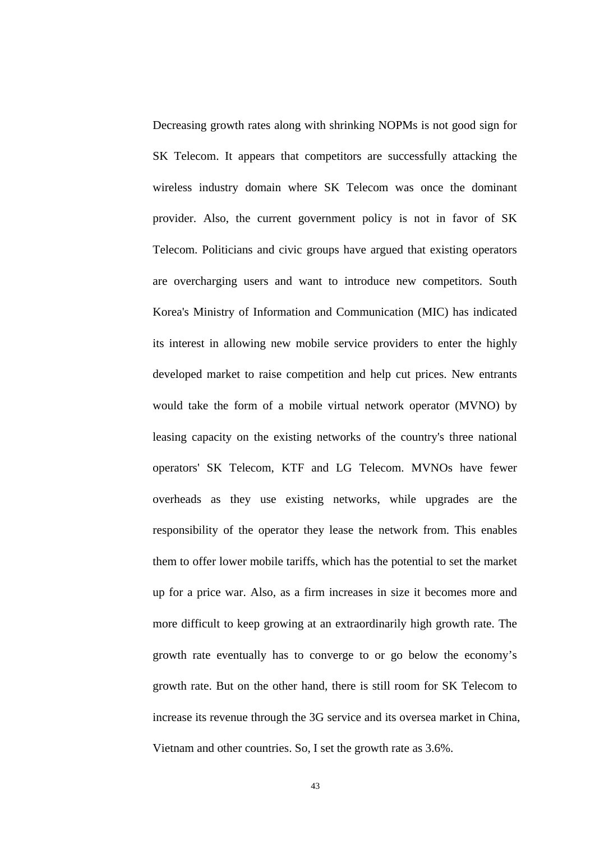Decreasing growth rates along with shrinking NOPMs is not good sign for SK Telecom. It appears that competitors are successfully attacking the wireless industry domain where SK Telecom was once the dominant provider. Also, the current government policy is not in favor of SK Telecom. Politicians and civic groups have argued that existing operators are overcharging users and want to introduce new competitors. South Korea's Ministry of Information and Communication (MIC) has indicated its interest in allowing new mobile service providers to enter the highly developed market to raise competition and help cut prices. New entrants would take the form of a mobile virtual network operator (MVNO) by leasing capacity on the existing networks of the country's three national operators' SK Telecom, KTF and LG Telecom. MVNOs have fewer overheads as they use existing networks, while upgrades are the responsibility of the operator they lease the network from. This enables them to offer lower mobile tariffs, which has the potential to set the market up for a price war. Also, as a firm increases in size it becomes more and more difficult to keep growing at an extraordinarily high growth rate. The growth rate eventually has to converge to or go below the economy's growth rate. But on the other hand, there is still room for SK Telecom to increase its revenue through the 3G service and its oversea market in China, Vietnam and other countries. So, I set the growth rate as 3.6%.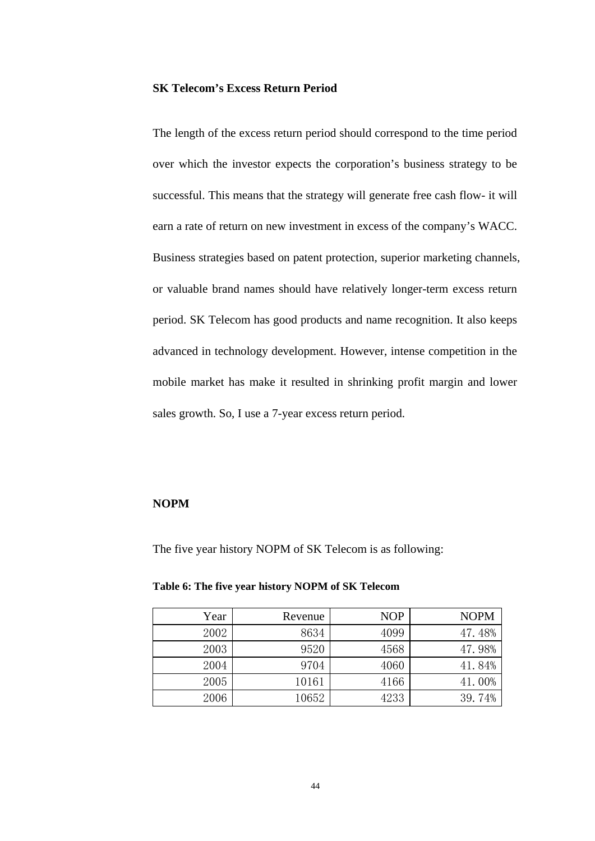#### **SK Telecom's Excess Return Period**

The length of the excess return period should correspond to the time period over which the investor expects the corporation's business strategy to be successful. This means that the strategy will generate free cash flow- it will earn a rate of return on new investment in excess of the company's WACC. Business strategies based on patent protection, superior marketing channels, or valuable brand names should have relatively longer-term excess return period. SK Telecom has good products and name recognition. It also keeps advanced in technology development. However, intense competition in the mobile market has make it resulted in shrinking profit margin and lower sales growth. So, I use a 7-year excess return period.

#### **NOPM**

The five year history NOPM of SK Telecom is as following:

| Year | Revenue | <b>NOP</b> | <b>NOPM</b> |
|------|---------|------------|-------------|
| 2002 | 8634    | 4099       | 47.48%      |
| 2003 | 9520    | 4568       | 47.98%      |
| 2004 | 9704    | 4060       | 41.84%      |
| 2005 | 10161   | 4166       | 41.00%      |
| 2006 | 10652   | 4233       | 39.74%      |

#### **Table 6: The five year history NOPM of SK Telecom**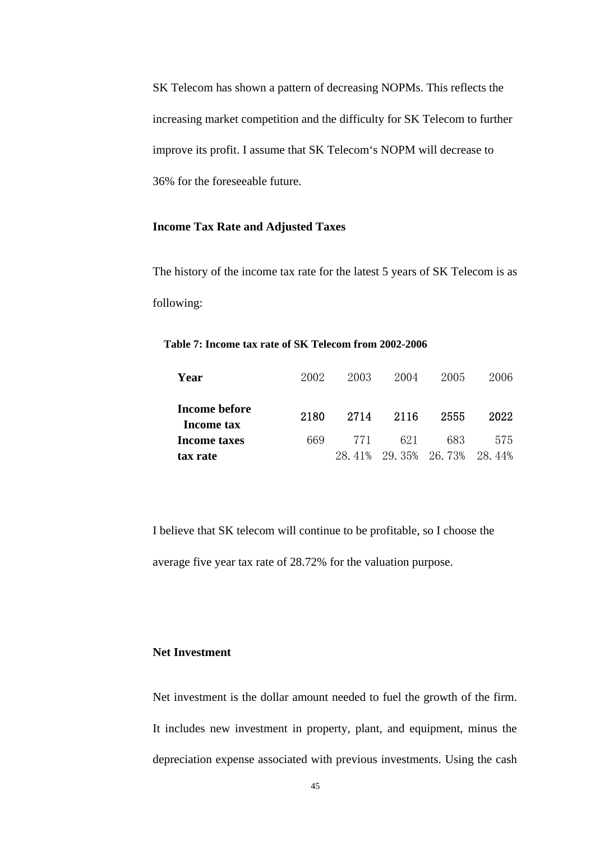SK Telecom has shown a pattern of decreasing NOPMs. This reflects the increasing market competition and the difficulty for SK Telecom to further improve its profit. I assume that SK Telecom's NOPM will decrease to 36% for the foreseeable future.

#### **Income Tax Rate and Adjusted Taxes**

The history of the income tax rate for the latest 5 years of SK Telecom is as following:

#### **Table 7: Income tax rate of SK Telecom from 2002-2006**

| Year                        | 2002 | 2003 | 2004                 | 2005 | 2006   |
|-----------------------------|------|------|----------------------|------|--------|
| Income before<br>Income tax | 2180 | 2714 | -2116                | 2555 | 2022   |
| <b>Income taxes</b>         | 669  | 771  | 621                  | 683  | 575    |
| tax rate                    |      |      | 28.41% 29.35% 26.73% |      | 28.44% |

I believe that SK telecom will continue to be profitable, so I choose the average five year tax rate of 28.72% for the valuation purpose.

#### **Net Investment**

Net investment is the dollar amount needed to fuel the growth of the firm. It includes new investment in property, plant, and equipment, minus the depreciation expense associated with previous investments. Using the cash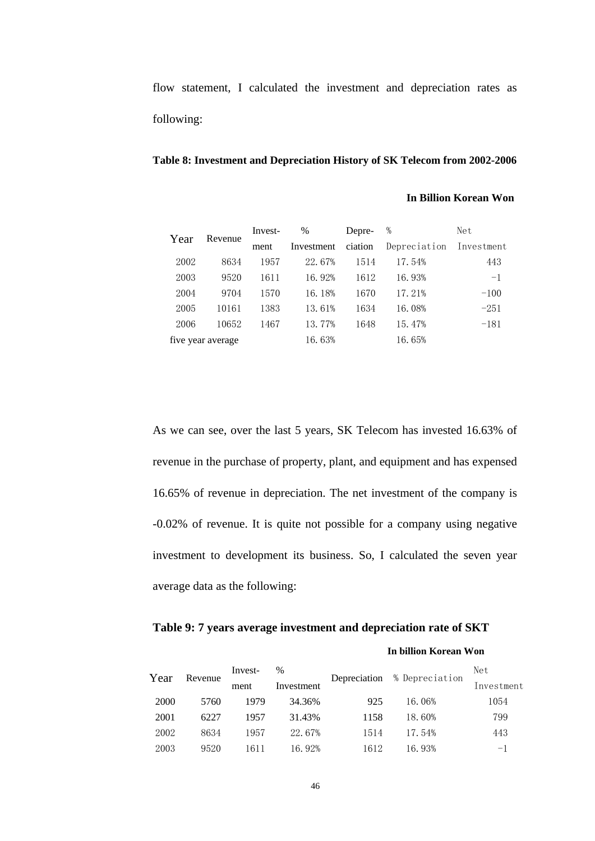flow statement, I calculated the investment and depreciation rates as following:

#### **Table 8: Investment and Depreciation History of SK Telecom from 2002-2006**

#### **In Billion Korean Won**

| Year | Revenue           | Invest- | $\%$       | Depre-  | %            | Net        |
|------|-------------------|---------|------------|---------|--------------|------------|
|      |                   | ment    | Investment | ciation | Depreciation | Investment |
| 2002 | 8634              | 1957    | 22.67%     | 1514    | 17.54%       | 443        |
| 2003 | 9520              | 1611    | 16.92%     | 1612    | 16.93%       | $-1$       |
| 2004 | 9704              | 1570    | 16.18%     | 1670    | 17.21%       | $-100$     |
| 2005 | 10161             | 1383    | 13.61%     | 1634    | 16.08%       | $-251$     |
| 2006 | 10652             | 1467    | 13.77%     | 1648    | 15.47%       | $-181$     |
|      | five year average |         | 16.63%     |         | 16.65%       |            |

As we can see, over the last 5 years, SK Telecom has invested 16.63% of revenue in the purchase of property, plant, and equipment and has expensed 16.65% of revenue in depreciation. The net investment of the company is -0.02% of revenue. It is quite not possible for a company using negative investment to development its business. So, I calculated the seven year average data as the following:

#### **Table 9: 7 years average investment and depreciation rate of SKT**

#### **In billion Korean Won**

| Year |         | Invest- | $\%$       |      |                             | Net        |
|------|---------|---------|------------|------|-----------------------------|------------|
|      | Revenue | ment    | Investment |      | Depreciation % Depreciation | Investment |
| 2000 | 5760    | 1979    | 34.36%     | 925  | 16.06%                      | 1054       |
| 2001 | 6227    | 1957    | 31.43%     | 1158 | 18.60%                      | 799        |
| 2002 | 8634    | 1957    | 22.67%     | 1514 | 17.54%                      | 443        |
| 2003 | 9520    | 611     | 16.92%     | 1612 | 16.93%                      | $-1$       |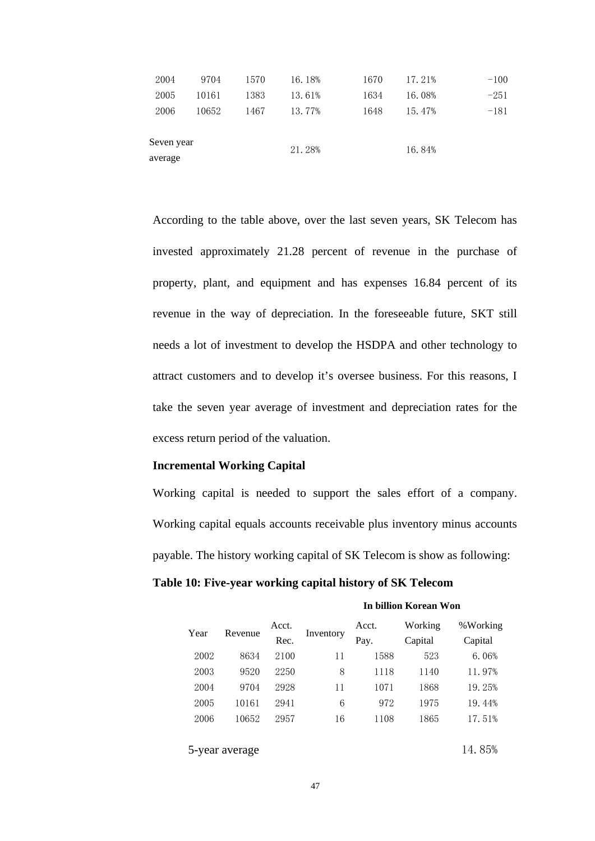| 2004       | 9704  | 1570 | 16.18% | 1670 | 17.21% | $-100$ |
|------------|-------|------|--------|------|--------|--------|
| 2005       | 10161 | 1383 | 13.61% | 1634 | 16.08% | $-251$ |
| 2006       | 10652 | 1467 | 13.77% | 1648 | 15.47% | $-181$ |
|            |       |      |        |      |        |        |
| Seven year |       |      | 21.28% |      | 16.84% |        |
| average    |       |      |        |      |        |        |

According to the table above, over the last seven years, SK Telecom has invested approximately 21.28 percent of revenue in the purchase of property, plant, and equipment and has expenses 16.84 percent of its revenue in the way of depreciation. In the foreseeable future, SKT still needs a lot of investment to develop the HSDPA and other technology to attract customers and to develop it's oversee business. For this reasons, I take the seven year average of investment and depreciation rates for the excess return period of the valuation.

#### **Incremental Working Capital**

Working capital is needed to support the sales effort of a company. Working capital equals accounts receivable plus inventory minus accounts payable. The history working capital of SK Telecom is show as following:

#### **Table 10: Five-year working capital history of SK Telecom**

#### **In billion Korean Won**

| Year | Revenue        | Acct.<br>Rec. | Inventory | Acct.<br>Pay. | Working<br>Capital | %Working<br>Capital |
|------|----------------|---------------|-----------|---------------|--------------------|---------------------|
| 2002 | 8634           | 2100          | 11        | 1588          | 523                | 6.06%               |
| 2003 | 9520           | 2250          | 8         | 1118          | 1140               | 11.97%              |
| 2004 | 9704           | 2928          | 11        | 1071          | 1868               | 19.25%              |
| 2005 | 10161          | 2941          | 6         | 972           | 1975               | 19.44%              |
| 2006 | 10652          | 2957          | 16        | 1108          | 1865               | 17.51%              |
|      |                |               |           |               |                    |                     |
|      | 5-year average |               |           | 14.85%        |                    |                     |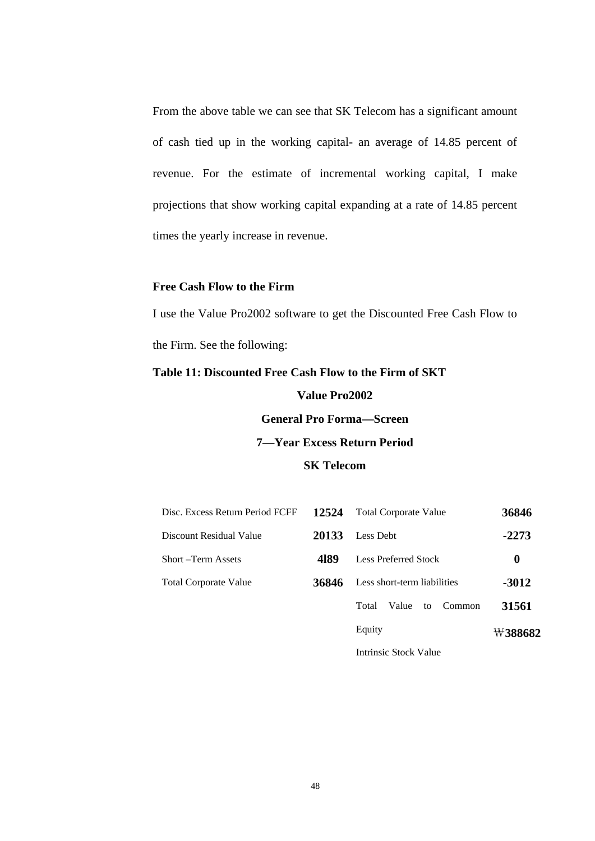From the above table we can see that SK Telecom has a significant amount of cash tied up in the working capital- an average of 14.85 percent of revenue. For the estimate of incremental working capital, I make projections that show working capital expanding at a rate of 14.85 percent times the yearly increase in revenue.

#### **Free Cash Flow to the Firm**

I use the Value Pro2002 software to get the Discounted Free Cash Flow to the Firm. See the following:

# **Table 11: Discounted Free Cash Flow to the Firm of SKT**

**Value Pro2002 General Pro Forma—Screen 7—Year Excess Return Period SK Telecom** 

| Disc. Excess Return Period FCFF | 12524 | <b>Total Corporate Value</b>   | 36846   |
|---------------------------------|-------|--------------------------------|---------|
| Discount Residual Value         | 20133 | Less Debt                      | $-2273$ |
| Short –Term Assets              | 4189  | <b>Less Preferred Stock</b>    | 0       |
| <b>Total Corporate Value</b>    | 36846 | Less short-term liabilities    | -3012   |
|                                 |       | Total<br>Value<br>Common<br>to | 31561   |
|                                 |       | Equity                         | ₩388682 |
|                                 |       | Intrinsic Stock Value          |         |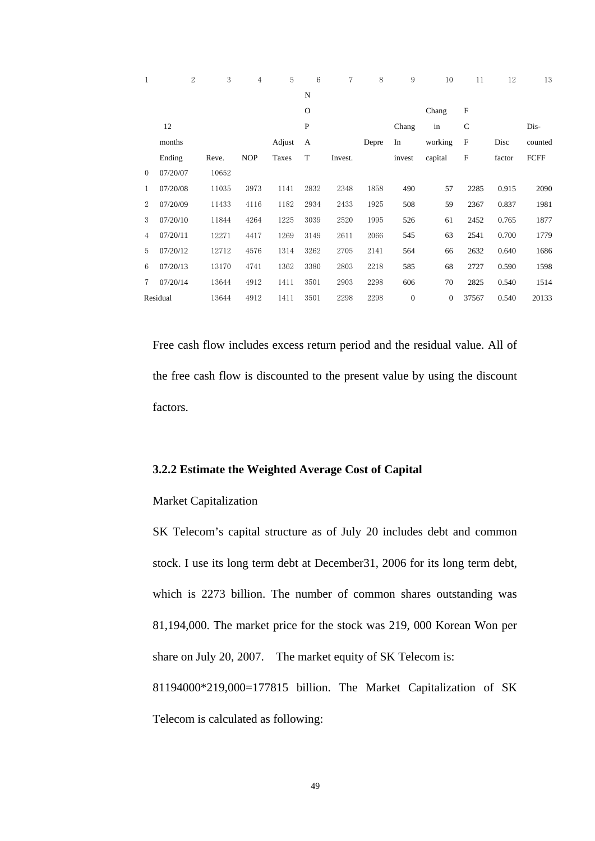| 1        | $\overline{2}$ | 3     | $\overline{4}$ | 5      | 6           | 7       | 8     | 9              | 10             | 11           | 12     | 13          |
|----------|----------------|-------|----------------|--------|-------------|---------|-------|----------------|----------------|--------------|--------|-------------|
|          |                |       |                |        | N           |         |       |                |                |              |        |             |
|          |                |       |                |        | $\mathbf O$ |         |       |                | Chang          | $\mathbf{F}$ |        |             |
|          | 12             |       |                |        | P           |         |       | Chang          | in             | $\mathsf{C}$ |        | Dis-        |
|          | months         |       |                | Adjust | А           |         | Depre | In             | working        | $\mathbf{F}$ | Disc   | counted     |
|          | Ending         | Reve. | <b>NOP</b>     | Taxes  | T           | Invest. |       | invest         | capital        | $\mathbf{F}$ | factor | <b>FCFF</b> |
| $\Omega$ | 07/20/07       | 10652 |                |        |             |         |       |                |                |              |        |             |
| 1        | 07/20/08       | 11035 | 3973           | 1141   | 2832        | 2348    | 1858  | 490            | 57             | 2285         | 0.915  | 2090        |
| 2        | 07/20/09       | 11433 | 4116           | 1182   | 2934        | 2433    | 1925  | 508            | 59             | 2367         | 0.837  | 1981        |
| 3        | 07/20/10       | 11844 | 4264           | 1225   | 3039        | 2520    | 1995  | 526            | 61             | 2452         | 0.765  | 1877        |
| 4        | 07/20/11       | 12271 | 4417           | 1269   | 3149        | 2611    | 2066  | 545            | 63             | 2541         | 0.700  | 1779        |
| 5        | 07/20/12       | 12712 | 4576           | 1314   | 3262        | 2705    | 2141  | 564            | 66             | 2632         | 0.640  | 1686        |
| 6        | 07/20/13       | 13170 | 4741           | 1362   | 3380        | 2803    | 2218  | 585            | 68             | 2727         | 0.590  | 1598        |
| 7        | 07/20/14       | 13644 | 4912           | 1411   | 3501        | 2903    | 2298  | 606            | 70             | 2825         | 0.540  | 1514        |
|          | Residual       | 13644 | 4912           | 1411   | 3501        | 2298    | 2298  | $\overline{0}$ | $\overline{0}$ | 37567        | 0.540  | 20133       |

Free cash flow includes excess return period and the residual value. All of the free cash flow is discounted to the present value by using the discount factors.

#### **3.2.2 Estimate the Weighted Average Cost of Capital**

#### Market Capitalization

SK Telecom's capital structure as of July 20 includes debt and common stock. I use its long term debt at December31, 2006 for its long term debt, which is 2273 billion. The number of common shares outstanding was 81,194,000. The market price for the stock was 219, 000 Korean Won per share on July 20, 2007. The market equity of SK Telecom is: 81194000\*219,000=177815 billion. The Market Capitalization of SK Telecom is calculated as following: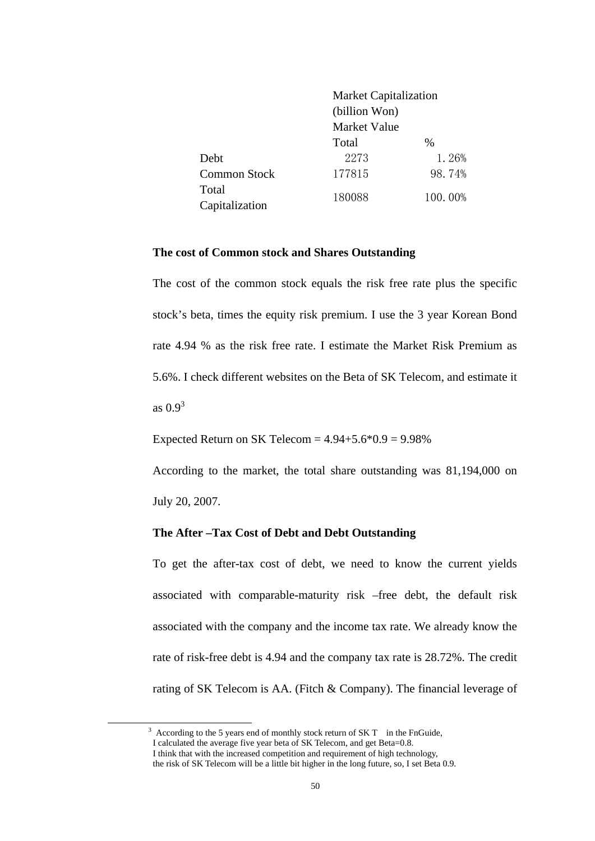|                     | <b>Market Capitalization</b> |         |
|---------------------|------------------------------|---------|
|                     | (billion Won)                |         |
|                     | <b>Market Value</b>          |         |
|                     | Total                        | $\%$    |
| Debt                | 2273                         | 1.26%   |
| <b>Common Stock</b> | 177815                       | 98.74%  |
| Total               | 180088                       | 100.00% |
| Capitalization      |                              |         |

#### **The cost of Common stock and Shares Outstanding**

The cost of the common stock equals the risk free rate plus the specific stock's beta, times the equity risk premium. I use the 3 year Korean Bond rate 4.94 % as the risk free rate. I estimate the Market Risk Premium as 5.6%. I check different websites on the Beta of SK Telecom, and estimate it as  $0.9<sup>3</sup>$ 

Expected Return on SK Telecom =  $4.94 + 5.6 * 0.9 = 9.98\%$ 

According to the market, the total share outstanding was 81,194,000 on July 20, 2007.

#### **The After –Tax Cost of Debt and Debt Outstanding**

To get the after-tax cost of debt, we need to know the current yields associated with comparable-maturity risk –free debt, the default risk associated with the company and the income tax rate. We already know the rate of risk-free debt is 4.94 and the company tax rate is 28.72%. The credit rating of SK Telecom is AA. (Fitch & Company). The financial leverage of

 $\frac{1}{3}$  $3$  According to the 5 years end of monthly stock return of SK T in the FnGuide,

I calculated the average five year beta of SK Telecom, and get Beta=0.8.

I think that with the increased competition and requirement of high technology,

the risk of SK Telecom will be a little bit higher in the long future, so, I set Beta 0.9.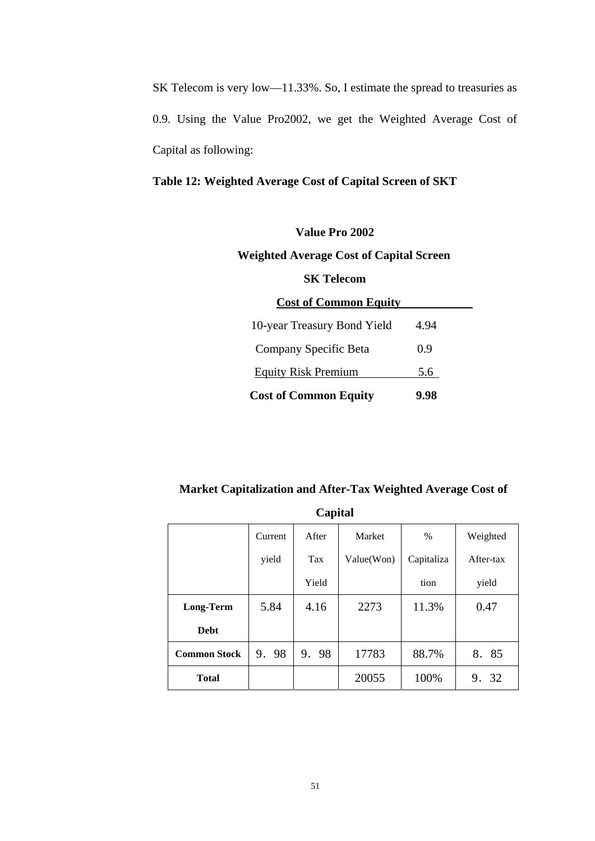SK Telecom is very low—11.33%. So, I estimate the spread to treasuries as 0.9. Using the Value Pro2002, we get the Weighted Average Cost of Capital as following:

# **Table 12: Weighted Average Cost of Capital Screen of SKT**

# **Value Pro 2002 Weighted Average Cost of Capital Screen SK Telecom Cost of Common Equity**  10-year Treasury Bond Yield 4.94 Company Specific Beta 0.9 Equity Risk Premium 5.6

#### **Market Capitalization and After-Tax Weighted Average Cost of**

**Cost of Common Equity 9.98** 

| Capital             |         |       |               |            |           |  |  |
|---------------------|---------|-------|---------------|------------|-----------|--|--|
|                     | Current | After | <b>Market</b> | %          | Weighted  |  |  |
|                     | yield   | Tax   | Value(Won)    | Capitaliza | After-tax |  |  |
|                     |         | Yield |               | tion       | yield     |  |  |
| <b>Long-Term</b>    | 5.84    | 4.16  | 2273          | 11.3%      | 0.47      |  |  |
| <b>Debt</b>         |         |       |               |            |           |  |  |
| <b>Common Stock</b> | 9.98    | 9.98  | 17783         | 88.7%      | 8. 85     |  |  |
| <b>Total</b>        |         |       | 20055         | 100%       | 9. 32     |  |  |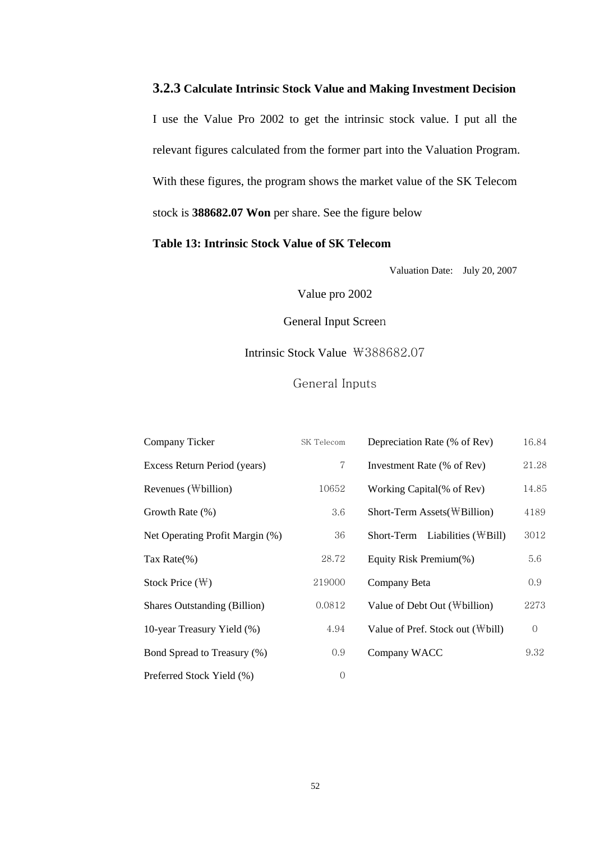# **3.2.3 Calculate Intrinsic Stock Value and Making Investment Decision**

I use the Value Pro 2002 to get the intrinsic stock value. I put all the relevant figures calculated from the former part into the Valuation Program. With these figures, the program shows the market value of the SK Telecom stock is **388682.07 Won** per share. See the figure below

#### **Table 13: Intrinsic Stock Value of SK Telecom**

Valuation Date: July 20, 2007

Value pro 2002

General Input Screen

### Intrinsic Stock Value ₩388682.07

## General Inputs

| Company Ticker                      | SK Telecom  | Depreciation Rate (% of Rev)            | 16.84          |
|-------------------------------------|-------------|-----------------------------------------|----------------|
| Excess Return Period (years)        | $\tau$      | Investment Rate (% of Rev)              | 21.28          |
| Revenues (Wbillion)                 | 10652       | Working Capital(% of Rev)               | 14.85          |
| Growth Rate (%)                     | 3.6         | Short-Term Assets (\\times\)            | 4189           |
| Net Operating Profit Margin (%)     | 36          | Short-Term Liabilities $(\forall Bill)$ | 3012           |
| Tax Rate $(\%)$                     | 28.72       | Equity Risk Premium(%)                  | 5.6            |
| Stock Price $(\mathbb{W})$          | 219000      | Company Beta                            | 0.9            |
| <b>Shares Outstanding (Billion)</b> | 0.0812      | Value of Debt Out $(\text{Wbillion})$   | 2273           |
| 10-year Treasury Yield (%)          | 4.94        | Value of Pref. Stock out (\bill)        | $\overline{0}$ |
| Bond Spread to Treasury (%)         | 0.9         | Company WACC                            | 9.32           |
| Preferred Stock Yield (%)           | $\mathbf 0$ |                                         |                |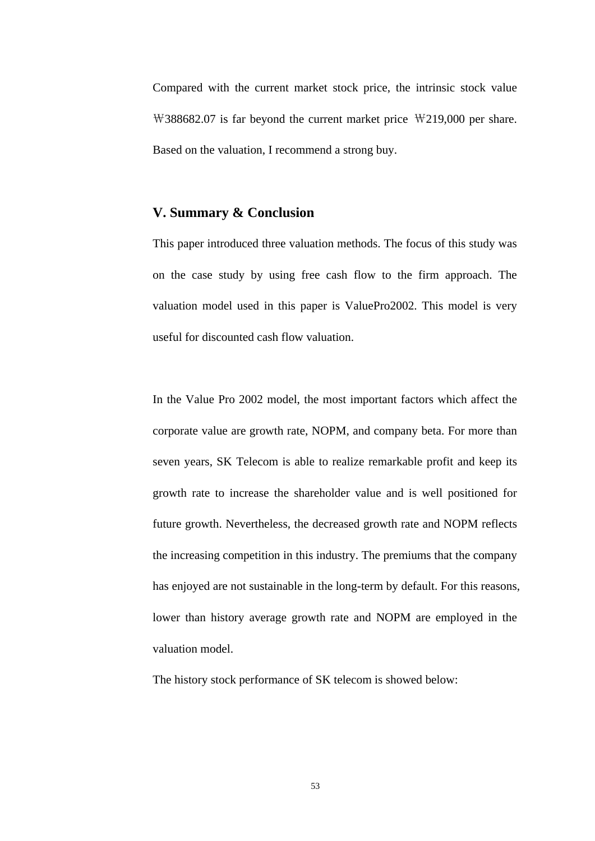Compared with the current market stock price, the intrinsic stock value ₩388682.07 is far beyond the current market price ₩219,000 per share. Based on the valuation, I recommend a strong buy.

#### **V. Summary & Conclusion**

This paper introduced three valuation methods. The focus of this study was on the case study by using free cash flow to the firm approach. The valuation model used in this paper is ValuePro2002. This model is very useful for discounted cash flow valuation.

In the Value Pro 2002 model, the most important factors which affect the corporate value are growth rate, NOPM, and company beta. For more than seven years, SK Telecom is able to realize remarkable profit and keep its growth rate to increase the shareholder value and is well positioned for future growth. Nevertheless, the decreased growth rate and NOPM reflects the increasing competition in this industry. The premiums that the company has enjoyed are not sustainable in the long-term by default. For this reasons, lower than history average growth rate and NOPM are employed in the valuation model.

The history stock performance of SK telecom is showed below: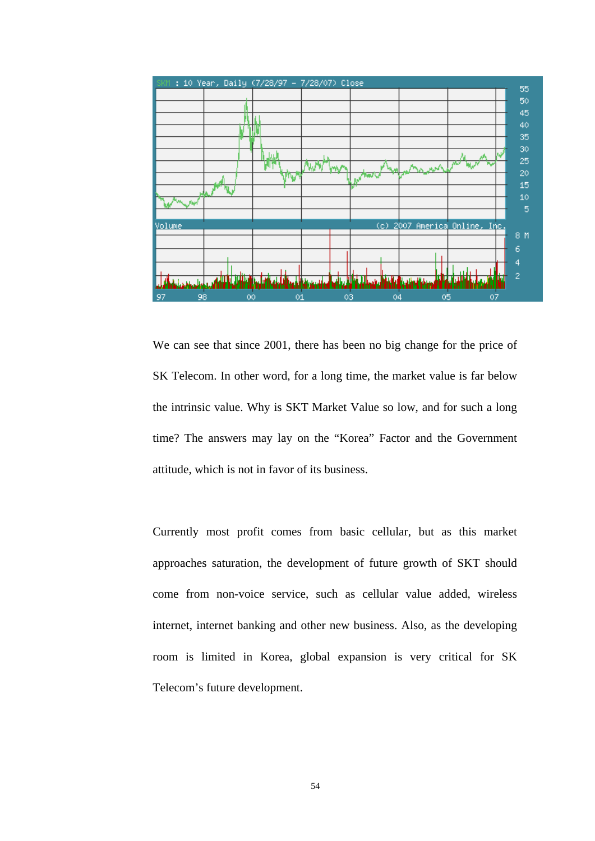

We can see that since 2001, there has been no big change for the price of SK Telecom. In other word, for a long time, the market value is far below the intrinsic value. Why is SKT Market Value so low, and for such a long time? The answers may lay on the "Korea" Factor and the Government attitude, which is not in favor of its business.

Currently most profit comes from basic cellular, but as this market approaches saturation, the development of future growth of SKT should come from non-voice service, such as cellular value added, wireless internet, internet banking and other new business. Also, as the developing room is limited in Korea, global expansion is very critical for SK Telecom's future development.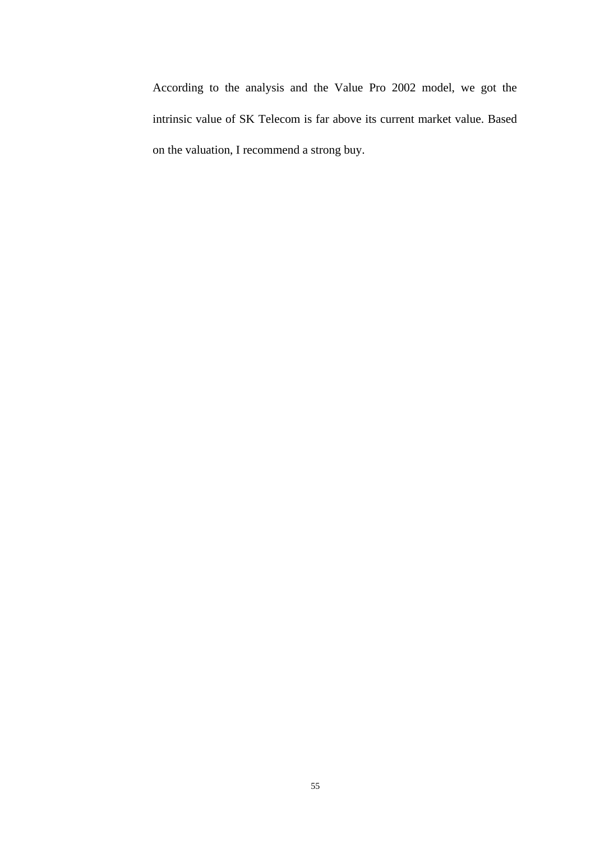According to the analysis and the Value Pro 2002 model, we got the intrinsic value of SK Telecom is far above its current market value. Based on the valuation, I recommend a strong buy.